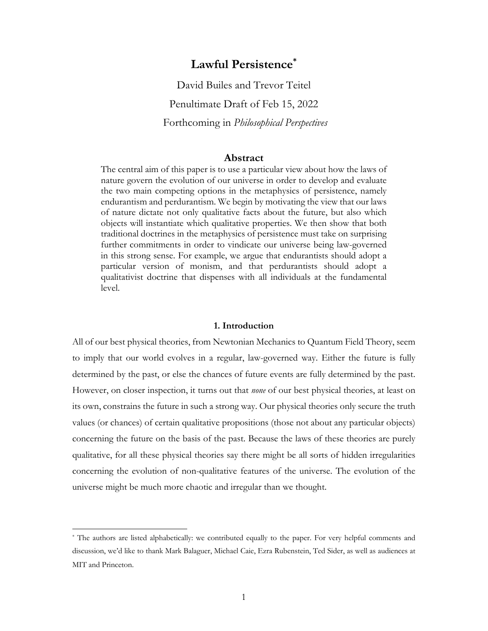# **Lawful Persistence\***

David Builes and Trevor Teitel Penultimate Draft of Feb 15, 2022 Forthcoming in *Philosophical Perspectives*

## **Abstract**

The central aim of this paper is to use a particular view about how the laws of nature govern the evolution of our universe in order to develop and evaluate the two main competing options in the metaphysics of persistence, namely endurantism and perdurantism. We begin by motivating the view that our laws of nature dictate not only qualitative facts about the future, but also which objects will instantiate which qualitative properties. We then show that both traditional doctrines in the metaphysics of persistence must take on surprising further commitments in order to vindicate our universe being law-governed in this strong sense. For example, we argue that endurantists should adopt a particular version of monism, and that perdurantists should adopt a qualitativist doctrine that dispenses with all individuals at the fundamental level.

## **1. Introduction**

All of our best physical theories, from Newtonian Mechanics to Quantum Field Theory, seem to imply that our world evolves in a regular, law-governed way. Either the future is fully determined by the past, or else the chances of future events are fully determined by the past. However, on closer inspection, it turns out that *none* of our best physical theories, at least on its own, constrains the future in such a strong way. Our physical theories only secure the truth values (or chances) of certain qualitative propositions (those not about any particular objects) concerning the future on the basis of the past. Because the laws of these theories are purely qualitative, for all these physical theories say there might be all sorts of hidden irregularities concerning the evolution of non-qualitative features of the universe. The evolution of the universe might be much more chaotic and irregular than we thought.

<sup>\*</sup> The authors are listed alphabetically: we contributed equally to the paper. For very helpful comments and discussion, we'd like to thank Mark Balaguer, Michael Caie, Ezra Rubenstein, Ted Sider, as well as audiences at MIT and Princeton.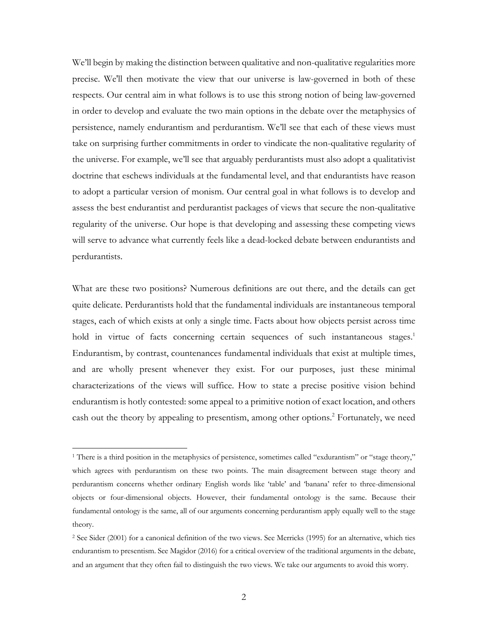We'll begin by making the distinction between qualitative and non-qualitative regularities more precise. We'll then motivate the view that our universe is law-governed in both of these respects. Our central aim in what follows is to use this strong notion of being law-governed in order to develop and evaluate the two main options in the debate over the metaphysics of persistence, namely endurantism and perdurantism. We'll see that each of these views must take on surprising further commitments in order to vindicate the non-qualitative regularity of the universe. For example, we'll see that arguably perdurantists must also adopt a qualitativist doctrine that eschews individuals at the fundamental level, and that endurantists have reason to adopt a particular version of monism. Our central goal in what follows is to develop and assess the best endurantist and perdurantist packages of views that secure the non-qualitative regularity of the universe. Our hope is that developing and assessing these competing views will serve to advance what currently feels like a dead-locked debate between endurantists and perdurantists.

What are these two positions? Numerous definitions are out there, and the details can get quite delicate. Perdurantists hold that the fundamental individuals are instantaneous temporal stages, each of which exists at only a single time. Facts about how objects persist across time hold in virtue of facts concerning certain sequences of such instantaneous stages.<sup>1</sup> Endurantism, by contrast, countenances fundamental individuals that exist at multiple times, and are wholly present whenever they exist. For our purposes, just these minimal characterizations of the views will suffice. How to state a precise positive vision behind endurantism is hotly contested: some appeal to a primitive notion of exact location, and others cash out the theory by appealing to presentism, among other options. <sup>2</sup> Fortunately, we need

<sup>1</sup> There is a third position in the metaphysics of persistence, sometimes called "exdurantism" or "stage theory," which agrees with perdurantism on these two points. The main disagreement between stage theory and perdurantism concerns whether ordinary English words like 'table' and 'banana' refer to three-dimensional objects or four-dimensional objects. However, their fundamental ontology is the same. Because their fundamental ontology is the same, all of our arguments concerning perdurantism apply equally well to the stage theory.

<sup>2</sup> See Sider (2001) for a canonical definition of the two views. See Merricks (1995) for an alternative, which ties endurantism to presentism. See Magidor (2016) for a critical overview of the traditional arguments in the debate, and an argument that they often fail to distinguish the two views. We take our arguments to avoid this worry.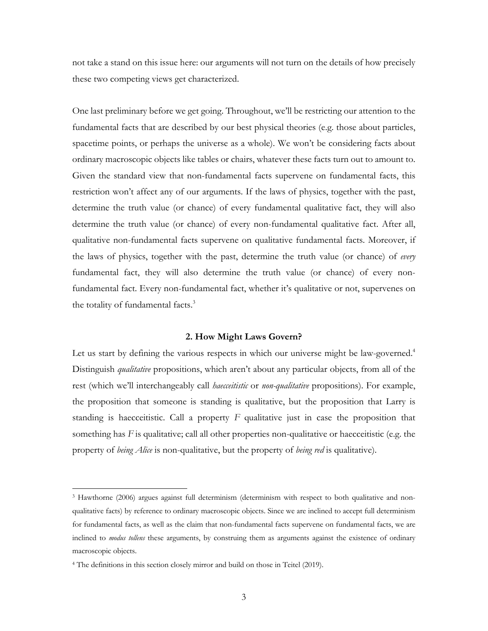not take a stand on this issue here: our arguments will not turn on the details of how precisely these two competing views get characterized.

One last preliminary before we get going. Throughout, we'll be restricting our attention to the fundamental facts that are described by our best physical theories (e.g. those about particles, spacetime points, or perhaps the universe as a whole). We won't be considering facts about ordinary macroscopic objects like tables or chairs, whatever these facts turn out to amount to. Given the standard view that non-fundamental facts supervene on fundamental facts, this restriction won't affect any of our arguments. If the laws of physics, together with the past, determine the truth value (or chance) of every fundamental qualitative fact, they will also determine the truth value (or chance) of every non-fundamental qualitative fact. After all, qualitative non-fundamental facts supervene on qualitative fundamental facts. Moreover, if the laws of physics, together with the past, determine the truth value (or chance) of *every*  fundamental fact, they will also determine the truth value (or chance) of every nonfundamental fact. Every non-fundamental fact, whether it's qualitative or not, supervenes on the totality of fundamental facts.<sup>3</sup>

# **2. How Might Laws Govern?**

Let us start by defining the various respects in which our universe might be law-governed.<sup>4</sup> Distinguish *qualitative* propositions, which aren't about any particular objects, from all of the rest (which we'll interchangeably call *haecceitistic* or *non-qualitative* propositions). For example, the proposition that someone is standing is qualitative, but the proposition that Larry is standing is haecceitistic. Call a property *F* qualitative just in case the proposition that something has *F* is qualitative; call all other properties non-qualitative or haecceitistic (e.g. the property of *being Alice* is non-qualitative, but the property of *being red* is qualitative).

<sup>3</sup> Hawthorne (2006) argues against full determinism (determinism with respect to both qualitative and nonqualitative facts) by reference to ordinary macroscopic objects. Since we are inclined to accept full determinism for fundamental facts, as well as the claim that non-fundamental facts supervene on fundamental facts, we are inclined to *modus tollens* these arguments, by construing them as arguments against the existence of ordinary macroscopic objects.

<sup>4</sup> The definitions in this section closely mirror and build on those in Teitel (2019).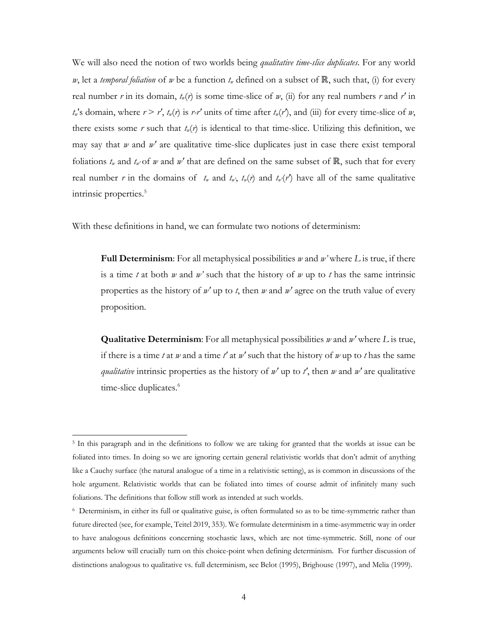We will also need the notion of two worlds being *qualitative time-slice duplicates*. For any world *w*, let a *temporal foliation* of *w* be a function  $t<sub>w</sub>$  defined on a subset of ℝ, such that, (i) for every real number *r* in its domain,  $t_w(r)$  is some time-slice of *w*, (ii) for any real numbers *r* and *r'* in  $t_w$ 's domain, where  $r > r'$ ,  $t_w(r)$  is  $r-r'$  units of time after  $t_w(r')$ , and (iii) for every time-slice of *w*, there exists some  $r$  such that  $t_w(r)$  is identical to that time-slice. Utilizing this definition, we may say that *w* and *w'* are qualitative time-slice duplicates just in case there exist temporal foliations  $t_w$  and  $t_w$ ' of *w* and  $w'$  that are defined on the same subset of ℝ, such that for every real number *r* in the domains of  $t_w$  and  $t_w$ ,  $t_w(r)$  and  $t_w(r')$  have all of the same qualitative intrinsic properties.<sup>5</sup>

With these definitions in hand, we can formulate two notions of determinism:

**Full Determinism**: For all metaphysical possibilities *w* and *w'* where *L* is true, if there is a time *t* at both *w* and *w'* such that the history of *w* up to *t* has the same intrinsic properties as the history of *w'* up to *t*, then *w* and *w'* agree on the truth value of every proposition.

**Qualitative Determinism**: For all metaphysical possibilities *w* and *w'* where *L* is true, if there is a time *t* at *w* and a time *t'* at *w'* such that the history of *w* up to *t* has the same *qualitative* intrinsic properties as the history of *w'* up to *t'*, then *w* and *w'* are qualitative time-slice duplicates.<sup>6</sup>

<sup>5</sup> In this paragraph and in the definitions to follow we are taking for granted that the worlds at issue can be foliated into times. In doing so we are ignoring certain general relativistic worlds that don't admit of anything like a Cauchy surface (the natural analogue of a time in a relativistic setting), as is common in discussions of the hole argument. Relativistic worlds that can be foliated into times of course admit of infinitely many such foliations. The definitions that follow still work as intended at such worlds.

<sup>6</sup> Determinism, in either its full or qualitative guise, is often formulated so as to be time-symmetric rather than future directed (see, for example, Teitel 2019, 353). We formulate determinism in a time-asymmetric way in order to have analogous definitions concerning stochastic laws, which are not time-symmetric. Still, none of our arguments below will crucially turn on this choice-point when defining determinism. For further discussion of distinctions analogous to qualitative vs. full determinism, see Belot (1995), Brighouse (1997), and Melia (1999).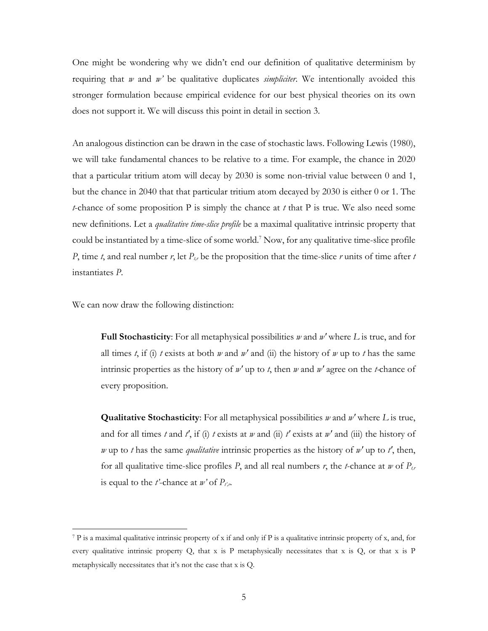One might be wondering why we didn't end our definition of qualitative determinism by requiring that *w* and *w'* be qualitative duplicates *simpliciter*. We intentionally avoided this stronger formulation because empirical evidence for our best physical theories on its own does not support it. We will discuss this point in detail in section 3.

An analogous distinction can be drawn in the case of stochastic laws. Following Lewis (1980), we will take fundamental chances to be relative to a time. For example, the chance in 2020 that a particular tritium atom will decay by 2030 is some non-trivial value between 0 and 1, but the chance in 2040 that that particular tritium atom decayed by 2030 is either 0 or 1. The *t*-chance of some proposition P is simply the chance at *t* that P is true. We also need some new definitions. Let a *qualitative time-slice profile* be a maximal qualitative intrinsic property that could be instantiated by a time-slice of some world.<sup>7</sup> Now, for any qualitative time-slice profile *P*, time *t*, and real number *r*, let  $P_{tr}$  be the proposition that the time-slice *r* units of time after *t* instantiates *P*.

We can now draw the following distinction:

**Full Stochasticity**: For all metaphysical possibilities *w* and *w'* where *L* is true, and for all times *t*, if (i) *t* exists at both *w* and *w'* and (ii) the history of *w* up to *t* has the same intrinsic properties as the history of *w'* up to *t*, then *w* and *w'* agree on the *t-*chance of every proposition.

**Qualitative Stochasticity**: For all metaphysical possibilities *w* and *w'* where *L* is true, and for all times *t* and *t'*, if (i) *t* exists at *w* and (ii) *t'* exists at *w'* and (iii) the history of *w* up to *t* has the same *qualitative* intrinsic properties as the history of *w'* up to *t'*, then, for all qualitative time-slice profiles *P*, and all real numbers *r*, the *t*-chance at *w* of  $P_{tr}$ is equal to the *t*'-chance at  $w$ ' of  $P_{t,r}$ .

<sup>7</sup> P is a maximal qualitative intrinsic property of x if and only if P is a qualitative intrinsic property of x, and, for every qualitative intrinsic property Q, that x is P metaphysically necessitates that x is Q, or that x is P metaphysically necessitates that it's not the case that x is Q.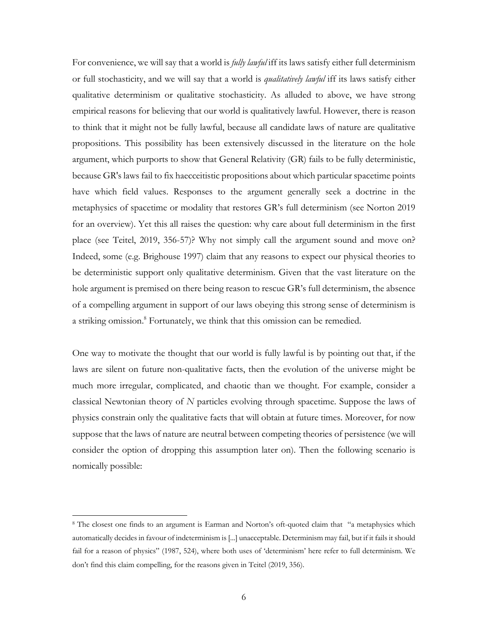For convenience, we will say that a world is *fully lawful* iff its laws satisfy either full determinism or full stochasticity, and we will say that a world is *qualitatively lawful* iff its laws satisfy either qualitative determinism or qualitative stochasticity. As alluded to above, we have strong empirical reasons for believing that our world is qualitatively lawful. However, there is reason to think that it might not be fully lawful, because all candidate laws of nature are qualitative propositions. This possibility has been extensively discussed in the literature on the hole argument, which purports to show that General Relativity (GR) fails to be fully deterministic, because GR's laws fail to fix haecceitistic propositions about which particular spacetime points have which field values. Responses to the argument generally seek a doctrine in the metaphysics of spacetime or modality that restores GR's full determinism (see Norton 2019 for an overview). Yet this all raises the question: why care about full determinism in the first place (see Teitel, 2019, 356-57)? Why not simply call the argument sound and move on? Indeed, some (e.g. Brighouse 1997) claim that any reasons to expect our physical theories to be deterministic support only qualitative determinism. Given that the vast literature on the hole argument is premised on there being reason to rescue GR's full determinism, the absence of a compelling argument in support of our laws obeying this strong sense of determinism is a striking omission.<sup>8</sup> Fortunately, we think that this omission can be remedied.

One way to motivate the thought that our world is fully lawful is by pointing out that, if the laws are silent on future non-qualitative facts, then the evolution of the universe might be much more irregular, complicated, and chaotic than we thought. For example, consider a classical Newtonian theory of *N* particles evolving through spacetime. Suppose the laws of physics constrain only the qualitative facts that will obtain at future times. Moreover, for now suppose that the laws of nature are neutral between competing theories of persistence (we will consider the option of dropping this assumption later on). Then the following scenario is nomically possible:

<sup>8</sup> The closest one finds to an argument is Earman and Norton's oft-quoted claim that "a metaphysics which automatically decides in favour of indeterminism is [...] unacceptable. Determinism may fail, but if it fails it should fail for a reason of physics" (1987, 524), where both uses of 'determinism' here refer to full determinism. We don't find this claim compelling, for the reasons given in Teitel (2019, 356).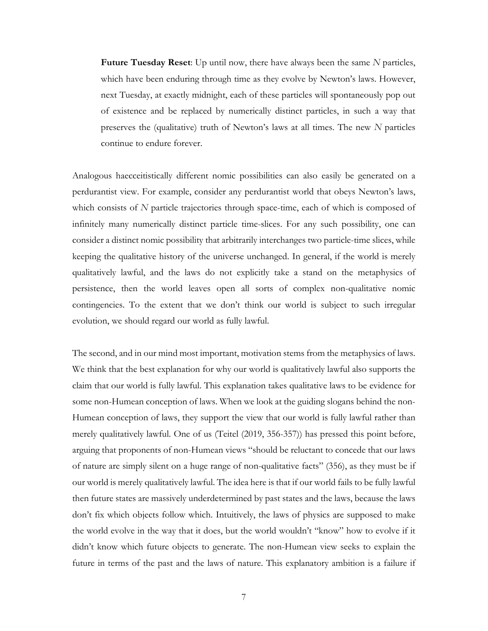**Future Tuesday Reset**: Up until now, there have always been the same *N* particles, which have been enduring through time as they evolve by Newton's laws. However, next Tuesday, at exactly midnight, each of these particles will spontaneously pop out of existence and be replaced by numerically distinct particles, in such a way that preserves the (qualitative) truth of Newton's laws at all times. The new *N* particles continue to endure forever.

Analogous haecceitistically different nomic possibilities can also easily be generated on a perdurantist view. For example, consider any perdurantist world that obeys Newton's laws, which consists of *N* particle trajectories through space-time, each of which is composed of infinitely many numerically distinct particle time-slices. For any such possibility, one can consider a distinct nomic possibility that arbitrarily interchanges two particle-time slices, while keeping the qualitative history of the universe unchanged. In general, if the world is merely qualitatively lawful, and the laws do not explicitly take a stand on the metaphysics of persistence, then the world leaves open all sorts of complex non-qualitative nomic contingencies. To the extent that we don't think our world is subject to such irregular evolution, we should regard our world as fully lawful.

The second, and in our mind most important, motivation stems from the metaphysics of laws. We think that the best explanation for why our world is qualitatively lawful also supports the claim that our world is fully lawful. This explanation takes qualitative laws to be evidence for some non-Humean conception of laws. When we look at the guiding slogans behind the non-Humean conception of laws, they support the view that our world is fully lawful rather than merely qualitatively lawful. One of us (Teitel (2019, 356-357)) has pressed this point before, arguing that proponents of non-Humean views "should be reluctant to concede that our laws of nature are simply silent on a huge range of non-qualitative facts" (356), as they must be if our world is merely qualitatively lawful. The idea here is that if our world fails to be fully lawful then future states are massively underdetermined by past states and the laws, because the laws don't fix which objects follow which. Intuitively, the laws of physics are supposed to make the world evolve in the way that it does, but the world wouldn't "know" how to evolve if it didn't know which future objects to generate. The non-Humean view seeks to explain the future in terms of the past and the laws of nature. This explanatory ambition is a failure if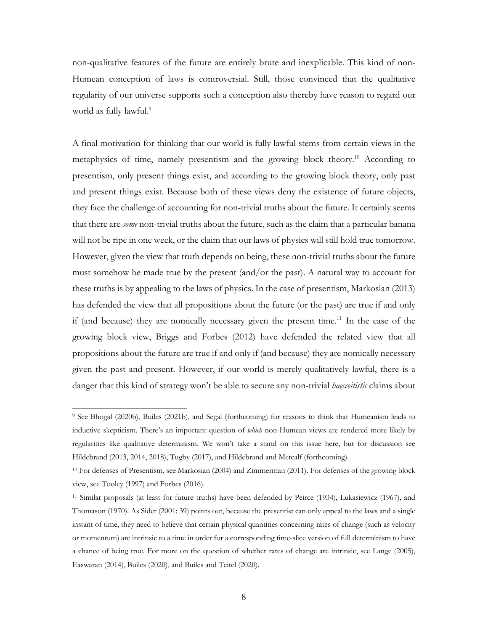non-qualitative features of the future are entirely brute and inexplicable. This kind of non-Humean conception of laws is controversial. Still, those convinced that the qualitative regularity of our universe supports such a conception also thereby have reason to regard our world as fully lawful. 9

A final motivation for thinking that our world is fully lawful stems from certain views in the metaphysics of time, namely presentism and the growing block theory. <sup>10</sup> According to presentism, only present things exist, and according to the growing block theory, only past and present things exist. Because both of these views deny the existence of future objects, they face the challenge of accounting for non-trivial truths about the future. It certainly seems that there are *some* non-trivial truths about the future, such as the claim that a particular banana will not be ripe in one week, or the claim that our laws of physics will still hold true tomorrow. However, given the view that truth depends on being, these non-trivial truths about the future must somehow be made true by the present (and/or the past). A natural way to account for these truths is by appealing to the laws of physics. In the case of presentism, Markosian (2013) has defended the view that all propositions about the future (or the past) are true if and only if (and because) they are nomically necessary given the present time.<sup>11</sup> In the case of the growing block view, Briggs and Forbes (2012) have defended the related view that all propositions about the future are true if and only if (and because) they are nomically necessary given the past and present. However, if our world is merely qualitatively lawful, there is a danger that this kind of strategy won't be able to secure any non-trivial *haecceitistic* claims about

<sup>9</sup> See Bhogal (2020b), Builes (2021b), and Segal (forthcoming) for reasons to think that Humeanism leads to inductive skepticism. There's an important question of *which* non-Humean views are rendered more likely by regularities like qualitative determinism. We won't take a stand on this issue here, but for discussion see Hildebrand (2013, 2014, 2018), Tugby (2017), and Hildebrand and Metcalf (forthcoming).

<sup>10</sup> For defenses of Presentism, see Markosian (2004) and Zimmerman (2011). For defenses of the growing block view, see Tooley (1997) and Forbes (2016).

<sup>11</sup> Similar proposals (at least for future truths) have been defended by Peirce (1934), Lukasiewicz (1967), and Thomason (1970). As Sider (2001: 39) points out, because the presentist can only appeal to the laws and a single instant of time, they need to believe that certain physical quantities concerning rates of change (such as velocity or momentum) are intrinsic to a time in order for a corresponding time-slice version of full determinism to have a chance of being true. For more on the question of whether rates of change are intrinsic, see Lange (2005), Easwaran (2014), Builes (2020), and Builes and Teitel (2020).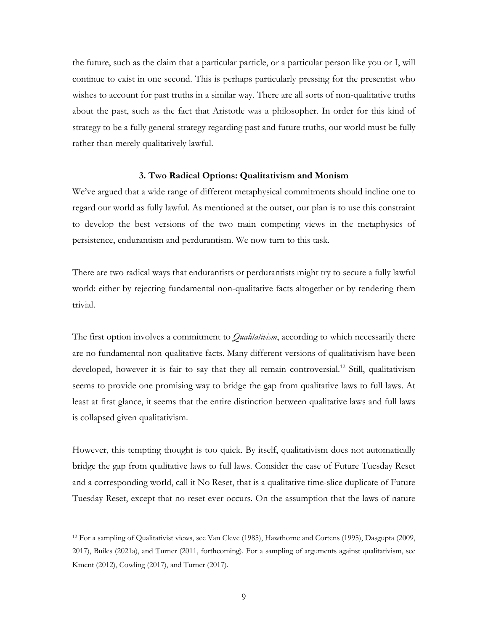the future, such as the claim that a particular particle, or a particular person like you or I, will continue to exist in one second. This is perhaps particularly pressing for the presentist who wishes to account for past truths in a similar way. There are all sorts of non-qualitative truths about the past, such as the fact that Aristotle was a philosopher. In order for this kind of strategy to be a fully general strategy regarding past and future truths, our world must be fully rather than merely qualitatively lawful.

# **3. Two Radical Options: Qualitativism and Monism**

We've argued that a wide range of different metaphysical commitments should incline one to regard our world as fully lawful. As mentioned at the outset, our plan is to use this constraint to develop the best versions of the two main competing views in the metaphysics of persistence, endurantism and perdurantism. We now turn to this task.

There are two radical ways that endurantists or perdurantists might try to secure a fully lawful world: either by rejecting fundamental non-qualitative facts altogether or by rendering them trivial.

The first option involves a commitment to *Qualitativism*, according to which necessarily there are no fundamental non-qualitative facts. Many different versions of qualitativism have been developed, however it is fair to say that they all remain controversial.<sup>12</sup> Still, qualitativism seems to provide one promising way to bridge the gap from qualitative laws to full laws. At least at first glance, it seems that the entire distinction between qualitative laws and full laws is collapsed given qualitativism.

However, this tempting thought is too quick. By itself, qualitativism does not automatically bridge the gap from qualitative laws to full laws. Consider the case of Future Tuesday Reset and a corresponding world, call it No Reset, that is a qualitative time-slice duplicate of Future Tuesday Reset, except that no reset ever occurs. On the assumption that the laws of nature

<sup>12</sup> For a sampling of Qualitativist views, see Van Cleve (1985), Hawthorne and Cortens (1995), Dasgupta (2009, 2017), Builes (2021a), and Turner (2011, forthcoming). For a sampling of arguments against qualitativism, see Kment (2012), Cowling (2017), and Turner (2017).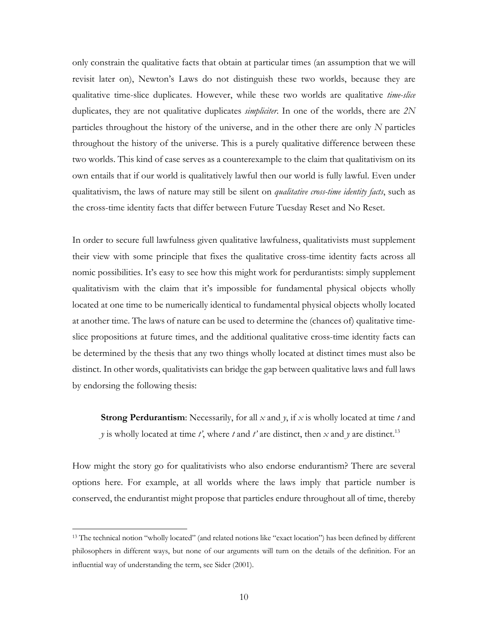only constrain the qualitative facts that obtain at particular times (an assumption that we will revisit later on), Newton's Laws do not distinguish these two worlds, because they are qualitative time-slice duplicates. However, while these two worlds are qualitative *time-slice* duplicates, they are not qualitative duplicates *simpliciter*. In one of the worlds, there are *2N* particles throughout the history of the universe, and in the other there are only *N* particles throughout the history of the universe. This is a purely qualitative difference between these two worlds. This kind of case serves as a counterexample to the claim that qualitativism on its own entails that if our world is qualitatively lawful then our world is fully lawful. Even under qualitativism, the laws of nature may still be silent on *qualitative cross-time identity facts*, such as the cross-time identity facts that differ between Future Tuesday Reset and No Reset.

In order to secure full lawfulness given qualitative lawfulness, qualitativists must supplement their view with some principle that fixes the qualitative cross-time identity facts across all nomic possibilities. It's easy to see how this might work for perdurantists: simply supplement qualitativism with the claim that it's impossible for fundamental physical objects wholly located at one time to be numerically identical to fundamental physical objects wholly located at another time. The laws of nature can be used to determine the (chances of) qualitative timeslice propositions at future times, and the additional qualitative cross-time identity facts can be determined by the thesis that any two things wholly located at distinct times must also be distinct. In other words, qualitativists can bridge the gap between qualitative laws and full laws by endorsing the following thesis:

**Strong Perdurantism**: Necessarily, for all *x* and *y*, if *x* is wholly located at time *t* and *y* is wholly located at time *t'*, where *t* and *t'* are distinct, then *x* and *y* are distinct.13

How might the story go for qualitativists who also endorse endurantism? There are several options here. For example, at all worlds where the laws imply that particle number is conserved, the endurantist might propose that particles endure throughout all of time, thereby

<sup>13</sup> The technical notion "wholly located" (and related notions like "exact location") has been defined by different philosophers in different ways, but none of our arguments will turn on the details of the definition. For an influential way of understanding the term, see Sider (2001).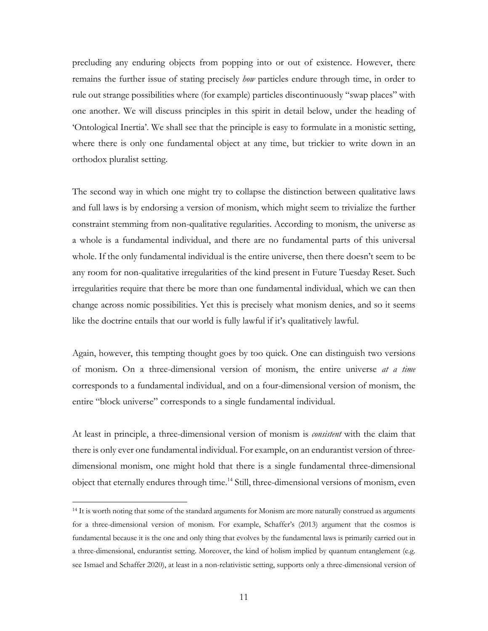precluding any enduring objects from popping into or out of existence. However, there remains the further issue of stating precisely *how* particles endure through time, in order to rule out strange possibilities where (for example) particles discontinuously "swap places" with one another. We will discuss principles in this spirit in detail below, under the heading of 'Ontological Inertia'. We shall see that the principle is easy to formulate in a monistic setting, where there is only one fundamental object at any time, but trickier to write down in an orthodox pluralist setting.

The second way in which one might try to collapse the distinction between qualitative laws and full laws is by endorsing a version of monism, which might seem to trivialize the further constraint stemming from non-qualitative regularities. According to monism, the universe as a whole is a fundamental individual, and there are no fundamental parts of this universal whole. If the only fundamental individual is the entire universe, then there doesn't seem to be any room for non-qualitative irregularities of the kind present in Future Tuesday Reset. Such irregularities require that there be more than one fundamental individual, which we can then change across nomic possibilities. Yet this is precisely what monism denies, and so it seems like the doctrine entails that our world is fully lawful if it's qualitatively lawful.

Again, however, this tempting thought goes by too quick. One can distinguish two versions of monism. On a three-dimensional version of monism, the entire universe *at a time* corresponds to a fundamental individual, and on a four-dimensional version of monism, the entire "block universe" corresponds to a single fundamental individual.

At least in principle, a three-dimensional version of monism is *consistent* with the claim that there is only ever one fundamental individual. For example, on an endurantist version of threedimensional monism, one might hold that there is a single fundamental three-dimensional object that eternally endures through time.14 Still, three-dimensional versions of monism, even

<sup>14</sup> It is worth noting that some of the standard arguments for Monism are more naturally construed as arguments for a three-dimensional version of monism. For example, Schaffer's (2013) argument that the cosmos is fundamental because it is the one and only thing that evolves by the fundamental laws is primarily carried out in a three-dimensional, endurantist setting. Moreover, the kind of holism implied by quantum entanglement (e.g. see Ismael and Schaffer 2020), at least in a non-relativistic setting, supports only a three-dimensional version of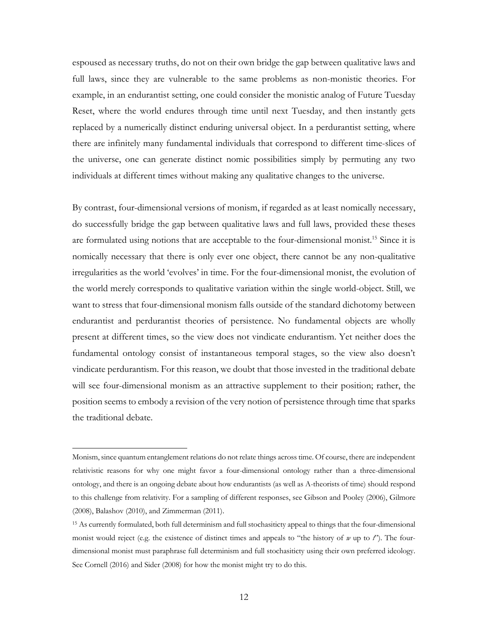espoused as necessary truths, do not on their own bridge the gap between qualitative laws and full laws, since they are vulnerable to the same problems as non-monistic theories. For example, in an endurantist setting, one could consider the monistic analog of Future Tuesday Reset, where the world endures through time until next Tuesday, and then instantly gets replaced by a numerically distinct enduring universal object. In a perdurantist setting, where there are infinitely many fundamental individuals that correspond to different time-slices of the universe, one can generate distinct nomic possibilities simply by permuting any two individuals at different times without making any qualitative changes to the universe.

By contrast, four-dimensional versions of monism, if regarded as at least nomically necessary, do successfully bridge the gap between qualitative laws and full laws, provided these theses are formulated using notions that are acceptable to the four-dimensional monist.<sup>15</sup> Since it is nomically necessary that there is only ever one object, there cannot be any non-qualitative irregularities as the world 'evolves' in time. For the four-dimensional monist, the evolution of the world merely corresponds to qualitative variation within the single world-object. Still, we want to stress that four-dimensional monism falls outside of the standard dichotomy between endurantist and perdurantist theories of persistence. No fundamental objects are wholly present at different times, so the view does not vindicate endurantism. Yet neither does the fundamental ontology consist of instantaneous temporal stages, so the view also doesn't vindicate perdurantism. For this reason, we doubt that those invested in the traditional debate will see four-dimensional monism as an attractive supplement to their position; rather, the position seems to embody a revision of the very notion of persistence through time that sparks the traditional debate.

Monism, since quantum entanglement relations do not relate things across time. Of course, there are independent relativistic reasons for why one might favor a four-dimensional ontology rather than a three-dimensional ontology, and there is an ongoing debate about how endurantists (as well as A-theorists of time) should respond to this challenge from relativity. For a sampling of different responses, see Gibson and Pooley (2006), Gilmore (2008), Balashov (2010), and Zimmerman (2011).

<sup>15</sup> As currently formulated, both full determinism and full stochasiticty appeal to things that the four-dimensional monist would reject (e.g. the existence of distinct times and appeals to "the history of *w* up to *t*"). The fourdimensional monist must paraphrase full determinism and full stochasiticty using their own preferred ideology. See Cornell (2016) and Sider (2008) for how the monist might try to do this.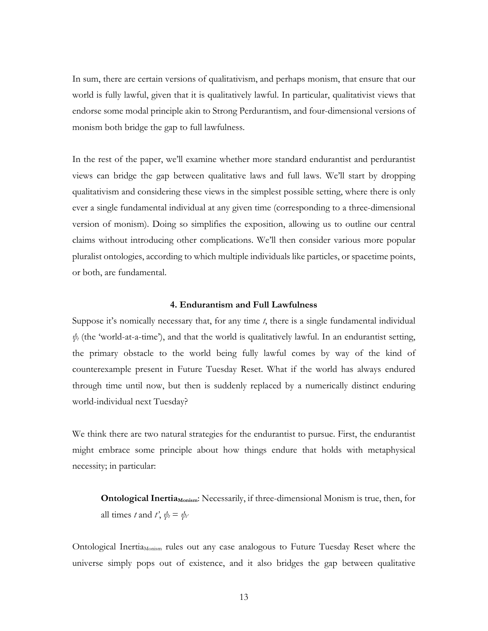In sum, there are certain versions of qualitativism, and perhaps monism, that ensure that our world is fully lawful, given that it is qualitatively lawful. In particular, qualitativist views that endorse some modal principle akin to Strong Perdurantism, and four-dimensional versions of monism both bridge the gap to full lawfulness.

In the rest of the paper, we'll examine whether more standard endurantist and perdurantist views can bridge the gap between qualitative laws and full laws. We'll start by dropping qualitativism and considering these views in the simplest possible setting, where there is only ever a single fundamental individual at any given time (corresponding to a three-dimensional version of monism). Doing so simplifies the exposition, allowing us to outline our central claims without introducing other complications. We'll then consider various more popular pluralist ontologies, according to which multiple individuals like particles, or spacetime points, or both, are fundamental.

#### **4. Endurantism and Full Lawfulness**

Suppose it's nomically necessary that, for any time *t*, there is a single fundamental individual *ψt* (the 'world-at-a-time'), and that the world is qualitatively lawful. In an endurantist setting, the primary obstacle to the world being fully lawful comes by way of the kind of counterexample present in Future Tuesday Reset. What if the world has always endured through time until now, but then is suddenly replaced by a numerically distinct enduring world-individual next Tuesday?

We think there are two natural strategies for the endurantist to pursue. First, the endurantist might embrace some principle about how things endure that holds with metaphysical necessity; in particular:

**Ontological Inertia**<sub>Monism</sub>: Necessarily, if three-dimensional Monism is true, then, for all times *t* and *t'*,  $\psi_t = \psi_{t'}$ 

Ontological Inertia<sub>Monism</sub> rules out any case analogous to Future Tuesday Reset where the universe simply pops out of existence, and it also bridges the gap between qualitative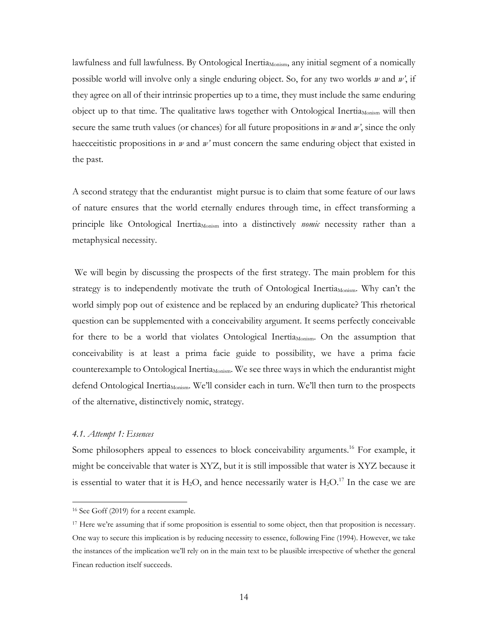lawfulness and full lawfulness. By Ontological Inertia<sub>Monism</sub>, any initial segment of a nomically possible world will involve only a single enduring object. So, for any two worlds *w* and *w'*, if they agree on all of their intrinsic properties up to a time, they must include the same enduring object up to that time. The qualitative laws together with Ontological Inertia $_{\text{Monism}}$  will then secure the same truth values (or chances) for all future propositions in *w* and *w'*, since the only haecceitistic propositions in *w* and *w'* must concern the same enduring object that existed in the past.

A second strategy that the endurantist might pursue is to claim that some feature of our laws of nature ensures that the world eternally endures through time, in effect transforming a principle like Ontological Inertia<sub>Monism</sub> into a distinctively *nomic* necessity rather than a metaphysical necessity.

We will begin by discussing the prospects of the first strategy. The main problem for this strategy is to independently motivate the truth of Ontological Inertia<sub>Monism</sub>. Why can't the world simply pop out of existence and be replaced by an enduring duplicate? This rhetorical question can be supplemented with a conceivability argument. It seems perfectly conceivable for there to be a world that violates Ontological Inertia<sub>Monism</sub>. On the assumption that conceivability is at least a prima facie guide to possibility, we have a prima facie counterexample to Ontological Inertia<sub>Monism</sub>. We see three ways in which the endurantist might defend Ontological Inertia<sub>Monism</sub>. We'll consider each in turn. We'll then turn to the prospects of the alternative, distinctively nomic, strategy.

# *4.1. Attempt 1: Essences*

Some philosophers appeal to essences to block conceivability arguments.<sup>16</sup> For example, it might be conceivable that water is XYZ, but it is still impossible that water is XYZ because it is essential to water that it is  $H_2O$ , and hence necessarily water is  $H_2O$ .<sup>17</sup> In the case we are

<sup>16</sup> See Goff (2019) for a recent example.

<sup>&</sup>lt;sup>17</sup> Here we're assuming that if some proposition is essential to some object, then that proposition is necessary. One way to secure this implication is by reducing necessity to essence, following Fine (1994). However, we take the instances of the implication we'll rely on in the main text to be plausible irrespective of whether the general Finean reduction itself succeeds.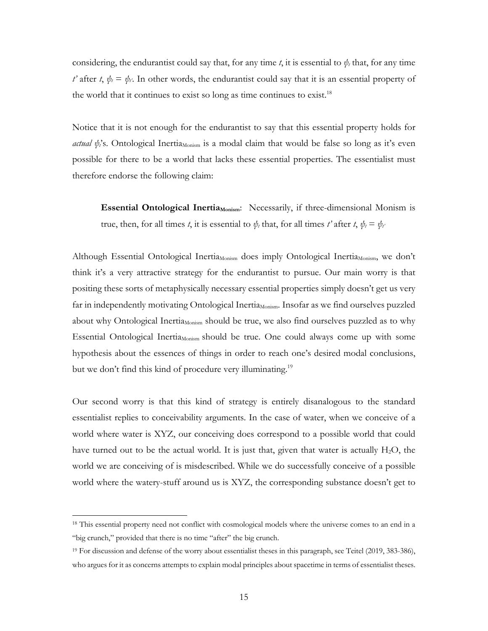considering, the endurantist could say that, for any time *t*, it is essential to  $\psi_t$  that, for any time *t'* after *t*,  $\psi_t = \psi_t$ . In other words, the endurantist could say that it is an essential property of the world that it continues to exist so long as time continues to exist.<sup>18</sup>

Notice that it is not enough for the endurantist to say that this essential property holds for *actual* ψ<sup>2</sup>, Ontological Inertia<sub>Monism</sub> is a modal claim that would be false so long as it's even possible for there to be a world that lacks these essential properties. The essentialist must therefore endorse the following claim:

**Essential Ontological Inertia<sub>Monism</sub>:** Necessarily, if three-dimensional Monism is true, then, for all times *t*, it is essential to  $\psi_t$  that, for all times *t'* after *t*,  $\psi_t = \psi_t$ 

Although Essential Ontological Inertia<sub>Monism</sub> does imply Ontological Inertia<sub>Monism</sub>, we don't think it's a very attractive strategy for the endurantist to pursue. Our main worry is that positing these sorts of metaphysically necessary essential properties simply doesn't get us very far in independently motivating Ontological Inertia<sub>Monism</sub>. Insofar as we find ourselves puzzled about why Ontological Inertia<sub>Monism</sub> should be true, we also find ourselves puzzled as to why Essential Ontological Inertia $_{\text{Monism}}$  should be true. One could always come up with some hypothesis about the essences of things in order to reach one's desired modal conclusions, but we don't find this kind of procedure very illuminating.<sup>19</sup>

Our second worry is that this kind of strategy is entirely disanalogous to the standard essentialist replies to conceivability arguments. In the case of water, when we conceive of a world where water is XYZ, our conceiving does correspond to a possible world that could have turned out to be the actual world. It is just that, given that water is actually  $H_2O$ , the world we are conceiving of is misdescribed. While we do successfully conceive of a possible world where the watery-stuff around us is XYZ, the corresponding substance doesn't get to

<sup>&</sup>lt;sup>18</sup> This essential property need not conflict with cosmological models where the universe comes to an end in a "big crunch," provided that there is no time "after" the big crunch.

<sup>19</sup> For discussion and defense of the worry about essentialist theses in this paragraph, see Teitel (2019, 383-386), who argues for it as concerns attempts to explain modal principles about spacetime in terms of essentialist theses.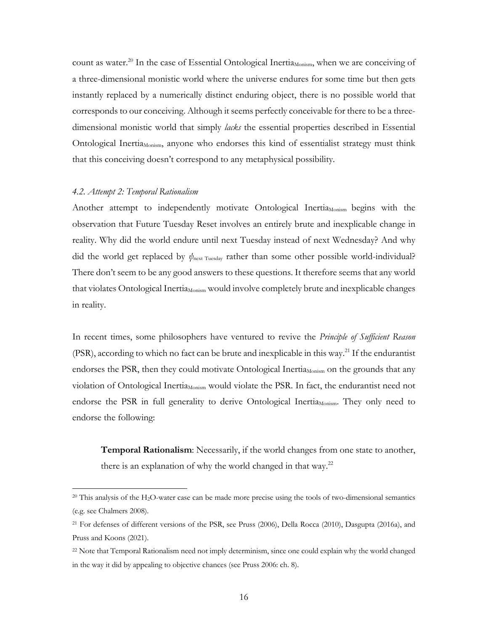count as water.<sup>20</sup> In the case of Essential Ontological Inertia<sub>Monism</sub>, when we are conceiving of a three-dimensional monistic world where the universe endures for some time but then gets instantly replaced by a numerically distinct enduring object, there is no possible world that corresponds to our conceiving. Although it seems perfectly conceivable for there to be a threedimensional monistic world that simply *lacks* the essential properties described in Essential Ontological InertiaMonism, anyone who endorses this kind of essentialist strategy must think that this conceiving doesn't correspond to any metaphysical possibility.

## *4.2. Attempt 2: Temporal Rationalism*

Another attempt to independently motivate Ontological Inertia $_{\text{Monism}}$  begins with the observation that Future Tuesday Reset involves an entirely brute and inexplicable change in reality. Why did the world endure until next Tuesday instead of next Wednesday? And why did the world get replaced by *ψ*next Tuesday rather than some other possible world-individual? There don't seem to be any good answers to these questions. It therefore seems that any world that violates Ontological Inertia<sub>Monism</sub> would involve completely brute and inexplicable changes in reality.

In recent times, some philosophers have ventured to revive the *Principle of Sufficient Reason* (PSR), according to which no fact can be brute and inexplicable in this way.<sup>21</sup> If the endurantist endorses the PSR, then they could motivate Ontological Inertia<sub>Monism</sub> on the grounds that any violation of Ontological Inertia<sub>Monism</sub> would violate the PSR. In fact, the endurantist need not endorse the PSR in full generality to derive Ontological Inertia<sub>Monism</sub>. They only need to endorse the following:

**Temporal Rationalism**: Necessarily, if the world changes from one state to another, there is an explanation of why the world changed in that way. $22$ 

 $20$  This analysis of the H<sub>2</sub>O-water case can be made more precise using the tools of two-dimensional semantics (e.g. see Chalmers 2008).

<sup>21</sup> For defenses of different versions of the PSR, see Pruss (2006), Della Rocca (2010), Dasgupta (2016a), and Pruss and Koons (2021).

<sup>&</sup>lt;sup>22</sup> Note that Temporal Rationalism need not imply determinism, since one could explain why the world changed in the way it did by appealing to objective chances (see Pruss 2006: ch. 8).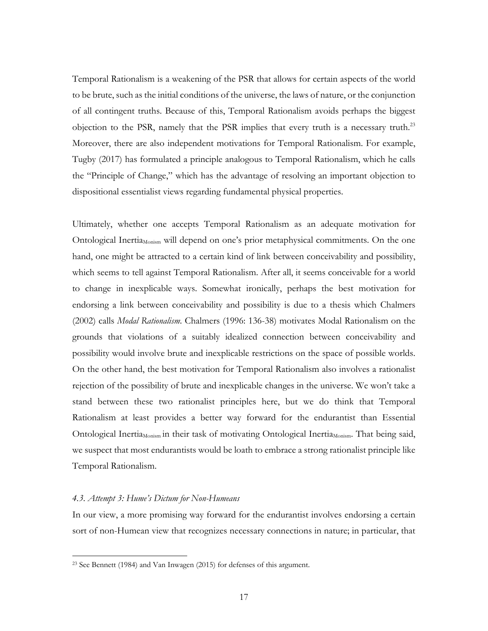Temporal Rationalism is a weakening of the PSR that allows for certain aspects of the world to be brute, such as the initial conditions of the universe, the laws of nature, or the conjunction of all contingent truths. Because of this, Temporal Rationalism avoids perhaps the biggest objection to the PSR, namely that the PSR implies that every truth is a necessary truth.23 Moreover, there are also independent motivations for Temporal Rationalism. For example, Tugby (2017) has formulated a principle analogous to Temporal Rationalism, which he calls the "Principle of Change," which has the advantage of resolving an important objection to dispositional essentialist views regarding fundamental physical properties.

Ultimately, whether one accepts Temporal Rationalism as an adequate motivation for Ontological Inertia<sub>Monism</sub> will depend on one's prior metaphysical commitments. On the one hand, one might be attracted to a certain kind of link between conceivability and possibility, which seems to tell against Temporal Rationalism. After all, it seems conceivable for a world to change in inexplicable ways. Somewhat ironically, perhaps the best motivation for endorsing a link between conceivability and possibility is due to a thesis which Chalmers (2002) calls *Modal Rationalism*. Chalmers (1996: 136-38) motivates Modal Rationalism on the grounds that violations of a suitably idealized connection between conceivability and possibility would involve brute and inexplicable restrictions on the space of possible worlds. On the other hand, the best motivation for Temporal Rationalism also involves a rationalist rejection of the possibility of brute and inexplicable changes in the universe. We won't take a stand between these two rationalist principles here, but we do think that Temporal Rationalism at least provides a better way forward for the endurantist than Essential Ontological Inertia<sub>Monism</sub> in their task of motivating Ontological Inertia<sub>Monism</sub>. That being said, we suspect that most endurantists would be loath to embrace a strong rationalist principle like Temporal Rationalism.

## *4.3. Attempt 3: Hume's Dictum for Non-Humeans*

In our view, a more promising way forward for the endurantist involves endorsing a certain sort of non-Humean view that recognizes necessary connections in nature; in particular, that

<sup>23</sup> See Bennett (1984) and Van Inwagen (2015) for defenses of this argument.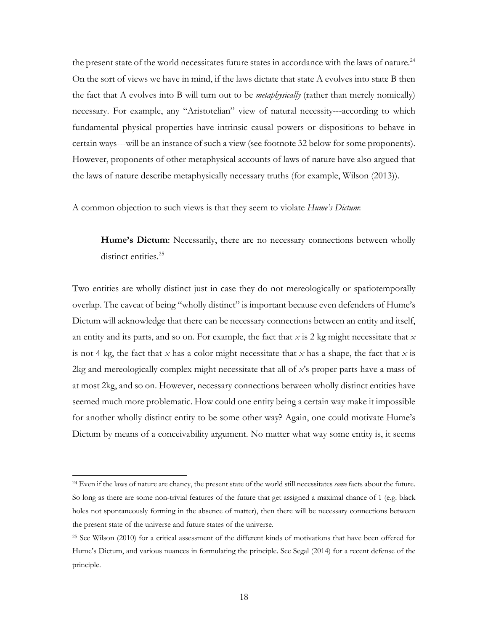the present state of the world necessitates future states in accordance with the laws of nature.<sup>24</sup> On the sort of views we have in mind, if the laws dictate that state A evolves into state B then the fact that A evolves into B will turn out to be *metaphysically* (rather than merely nomically) necessary. For example, any "Aristotelian" view of natural necessity---according to which fundamental physical properties have intrinsic causal powers or dispositions to behave in certain ways---will be an instance of such a view (see footnote 32 below for some proponents). However, proponents of other metaphysical accounts of laws of nature have also argued that the laws of nature describe metaphysically necessary truths (for example, Wilson (2013)).

A common objection to such views is that they seem to violate *Hume's Dictum*:

**Hume's Dictum**: Necessarily, there are no necessary connections between wholly distinct entities.<sup>25</sup>

Two entities are wholly distinct just in case they do not mereologically or spatiotemporally overlap. The caveat of being "wholly distinct" is important because even defenders of Hume's Dictum will acknowledge that there can be necessary connections between an entity and itself, an entity and its parts, and so on. For example, the fact that *x* is 2 kg might necessitate that *x* is not 4 kg, the fact that *x* has a color might necessitate that *x* has a shape, the fact that *x* is 2kg and mereologically complex might necessitate that all of *x*'s proper parts have a mass of at most 2kg, and so on. However, necessary connections between wholly distinct entities have seemed much more problematic. How could one entity being a certain way make it impossible for another wholly distinct entity to be some other way? Again, one could motivate Hume's Dictum by means of a conceivability argument. No matter what way some entity is, it seems

<sup>24</sup> Even if the laws of nature are chancy, the present state of the world still necessitates *some* facts about the future. So long as there are some non-trivial features of the future that get assigned a maximal chance of 1 (e.g. black holes not spontaneously forming in the absence of matter), then there will be necessary connections between the present state of the universe and future states of the universe.

<sup>25</sup> See Wilson (2010) for a critical assessment of the different kinds of motivations that have been offered for Hume's Dictum, and various nuances in formulating the principle. See Segal (2014) for a recent defense of the principle.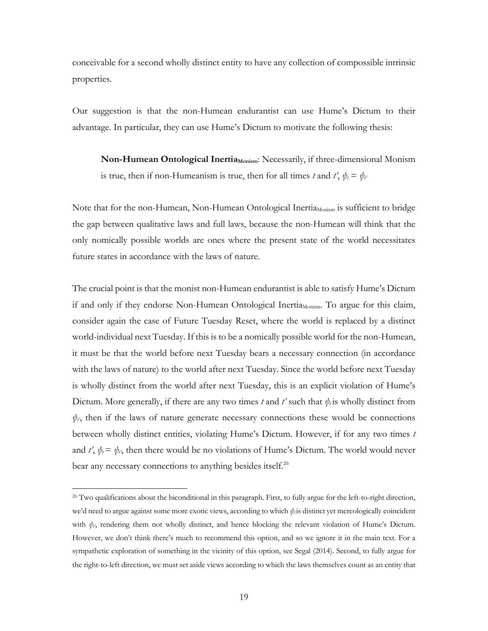conceivable for a second wholly distinct entity to have any collection of compossible intrinsic properties.

Our suggestion is that the non-Humean endurantist can use Hume's Dictum to their advantage. In particular, they can use Hume's Dictum to motivate the following thesis:

**Non-Humean Ontological Inertia** Monism: Necessarily, if three-dimensional Monism is true, then if non-Humeanism is true, then for all times *t* and *t'*,  $\psi_t = \psi_t$ 

Note that for the non-Humean, Non-Humean Ontological Inertia<sub>Monism</sub> is sufficient to bridge the gap between qualitative laws and full laws, because the non-Humean will think that the only nomically possible worlds are ones where the present state of the world necessitates future states in accordance with the laws of nature.

The crucial point is that the monist non-Humean endurantist is able to satisfy Hume's Dictum if and only if they endorse Non-Humean Ontological Inertia<sub>Monism</sub>. To argue for this claim, consider again the case of Future Tuesday Reset, where the world is replaced by a distinct world-individual next Tuesday. If this is to be a nomically possible world for the non-Humean, it must be that the world before next Tuesday bears a necessary connection (in accordance with the laws of nature) to the world after next Tuesday. Since the world before next Tuesday is wholly distinct from the world after next Tuesday, this is an explicit violation of Hume's Dictum. More generally, if there are any two times *t* and *t'* such that  $\psi_t$  is wholly distinct from  $\psi$ <sub>r</sub>, then if the laws of nature generate necessary connections these would be connections between wholly distinct entities, violating Hume's Dictum. However, if for any two times *t* and *t'*,  $\psi_i = \psi_i$ , then there would be no violations of Hume's Dictum. The world would never bear any necessary connections to anything besides itself.<sup>26</sup>

<sup>&</sup>lt;sup>26</sup> Two qualifications about the biconditional in this paragraph. First, to fully argue for the left-to-right direction, we'd need to argue against some more exotic views, according to which  $ψ_t$  is distinct yet mereologically coincident with  $\psi_r$ , rendering them not wholly distinct, and hence blocking the relevant violation of Hume's Dictum. However, we don't think there's much to recommend this option, and so we ignore it in the main text. For a sympathetic exploration of something in the vicinity of this option, see Segal (2014). Second, to fully argue for the right-to-left direction, we must set aside views according to which the laws themselves count as an entity that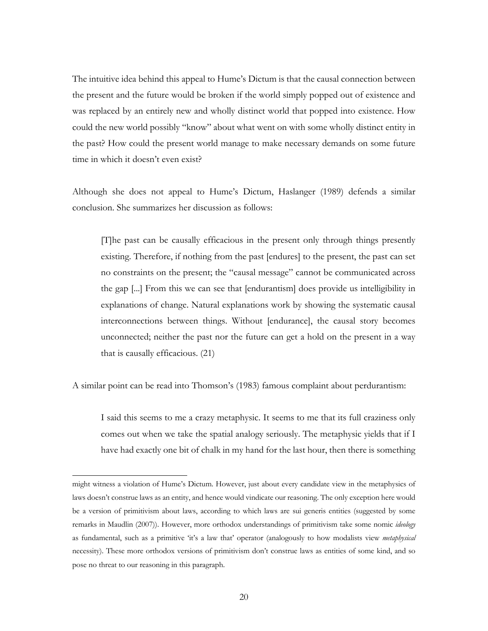The intuitive idea behind this appeal to Hume's Dictum is that the causal connection between the present and the future would be broken if the world simply popped out of existence and was replaced by an entirely new and wholly distinct world that popped into existence. How could the new world possibly "know" about what went on with some wholly distinct entity in the past? How could the present world manage to make necessary demands on some future time in which it doesn't even exist?

Although she does not appeal to Hume's Dictum, Haslanger (1989) defends a similar conclusion. She summarizes her discussion as follows:

[T]he past can be causally efficacious in the present only through things presently existing. Therefore, if nothing from the past [endures] to the present, the past can set no constraints on the present; the "causal message" cannot be communicated across the gap [...] From this we can see that [endurantism] does provide us intelligibility in explanations of change. Natural explanations work by showing the systematic causal interconnections between things. Without [endurance], the causal story becomes unconnected; neither the past nor the future can get a hold on the present in a way that is causally efficacious. (21)

A similar point can be read into Thomson's (1983) famous complaint about perdurantism:

I said this seems to me a crazy metaphysic. It seems to me that its full craziness only comes out when we take the spatial analogy seriously. The metaphysic yields that if I have had exactly one bit of chalk in my hand for the last hour, then there is something

might witness a violation of Hume's Dictum. However, just about every candidate view in the metaphysics of laws doesn't construe laws as an entity, and hence would vindicate our reasoning. The only exception here would be a version of primitivism about laws, according to which laws are sui generis entities (suggested by some remarks in Maudlin (2007)). However, more orthodox understandings of primitivism take some nomic *ideology* as fundamental, such as a primitive 'it's a law that' operator (analogously to how modalists view *metaphysical* necessity). These more orthodox versions of primitivism don't construe laws as entities of some kind, and so pose no threat to our reasoning in this paragraph.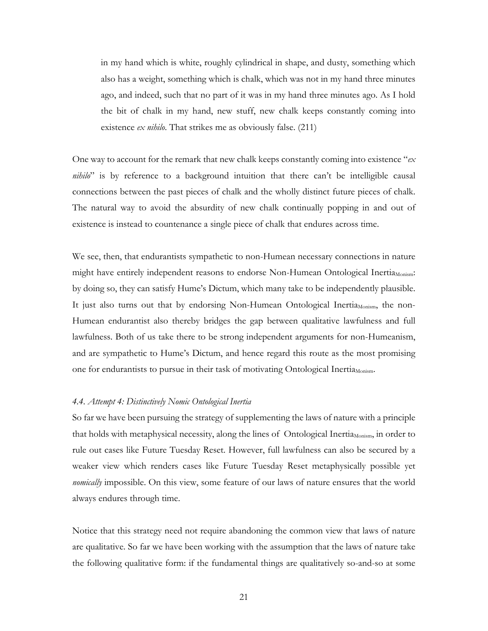in my hand which is white, roughly cylindrical in shape, and dusty, something which also has a weight, something which is chalk, which was not in my hand three minutes ago, and indeed, such that no part of it was in my hand three minutes ago. As I hold the bit of chalk in my hand, new stuff, new chalk keeps constantly coming into existence *ex nihilo*. That strikes me as obviously false. (211)

One way to account for the remark that new chalk keeps constantly coming into existence "*ex nihilo*" is by reference to a background intuition that there can't be intelligible causal connections between the past pieces of chalk and the wholly distinct future pieces of chalk. The natural way to avoid the absurdity of new chalk continually popping in and out of existence is instead to countenance a single piece of chalk that endures across time.

We see, then, that endurantists sympathetic to non-Humean necessary connections in nature might have entirely independent reasons to endorse Non-Humean Ontological Inertia<sub>Monism</sub>: by doing so, they can satisfy Hume's Dictum, which many take to be independently plausible. It just also turns out that by endorsing Non-Humean Ontological Inertia<sub>Monism</sub>, the non-Humean endurantist also thereby bridges the gap between qualitative lawfulness and full lawfulness. Both of us take there to be strong independent arguments for non-Humeanism, and are sympathetic to Hume's Dictum, and hence regard this route as the most promising one for endurantists to pursue in their task of motivating Ontological Inertia $_{\text{Monism}}$ .

#### *4.4. Attempt 4: Distinctively Nomic Ontological Inertia*

So far we have been pursuing the strategy of supplementing the laws of nature with a principle that holds with metaphysical necessity, along the lines of Ontological Inertia<sub>Monism</sub>, in order to rule out cases like Future Tuesday Reset. However, full lawfulness can also be secured by a weaker view which renders cases like Future Tuesday Reset metaphysically possible yet *nomically* impossible. On this view, some feature of our laws of nature ensures that the world always endures through time.

Notice that this strategy need not require abandoning the common view that laws of nature are qualitative. So far we have been working with the assumption that the laws of nature take the following qualitative form: if the fundamental things are qualitatively so-and-so at some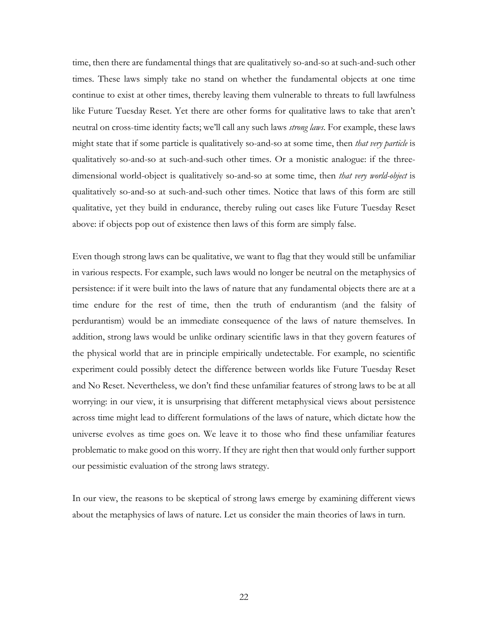time, then there are fundamental things that are qualitatively so-and-so at such-and-such other times. These laws simply take no stand on whether the fundamental objects at one time continue to exist at other times, thereby leaving them vulnerable to threats to full lawfulness like Future Tuesday Reset. Yet there are other forms for qualitative laws to take that aren't neutral on cross-time identity facts; we'll call any such laws *strong laws*. For example, these laws might state that if some particle is qualitatively so-and-so at some time, then *that very particle* is qualitatively so-and-so at such-and-such other times. Or a monistic analogue: if the threedimensional world-object is qualitatively so-and-so at some time, then *that very world-object* is qualitatively so-and-so at such-and-such other times. Notice that laws of this form are still qualitative, yet they build in endurance, thereby ruling out cases like Future Tuesday Reset above: if objects pop out of existence then laws of this form are simply false.

Even though strong laws can be qualitative, we want to flag that they would still be unfamiliar in various respects. For example, such laws would no longer be neutral on the metaphysics of persistence: if it were built into the laws of nature that any fundamental objects there are at a time endure for the rest of time, then the truth of endurantism (and the falsity of perdurantism) would be an immediate consequence of the laws of nature themselves. In addition, strong laws would be unlike ordinary scientific laws in that they govern features of the physical world that are in principle empirically undetectable. For example, no scientific experiment could possibly detect the difference between worlds like Future Tuesday Reset and No Reset. Nevertheless, we don't find these unfamiliar features of strong laws to be at all worrying: in our view, it is unsurprising that different metaphysical views about persistence across time might lead to different formulations of the laws of nature, which dictate how the universe evolves as time goes on. We leave it to those who find these unfamiliar features problematic to make good on this worry. If they are right then that would only further support our pessimistic evaluation of the strong laws strategy.

In our view, the reasons to be skeptical of strong laws emerge by examining different views about the metaphysics of laws of nature. Let us consider the main theories of laws in turn.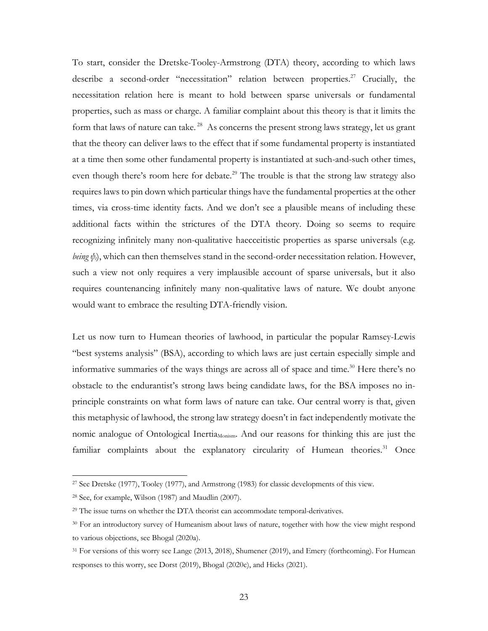To start, consider the Dretske-Tooley-Armstrong (DTA) theory, according to which laws describe a second-order "necessitation" relation between properties. <sup>27</sup> Crucially, the necessitation relation here is meant to hold between sparse universals or fundamental properties, such as mass or charge. A familiar complaint about this theory is that it limits the form that laws of nature can take.<sup>28</sup> As concerns the present strong laws strategy, let us grant that the theory can deliver laws to the effect that if some fundamental property is instantiated at a time then some other fundamental property is instantiated at such-and-such other times, even though there's room here for debate.<sup>29</sup> The trouble is that the strong law strategy also requires laws to pin down which particular things have the fundamental properties at the other times, via cross-time identity facts. And we don't see a plausible means of including these additional facts within the strictures of the DTA theory. Doing so seems to require recognizing infinitely many non-qualitative haecceitistic properties as sparse universals (e.g. *being*  $\psi$ ), which can then themselves stand in the second-order necessitation relation. However, such a view not only requires a very implausible account of sparse universals, but it also requires countenancing infinitely many non-qualitative laws of nature. We doubt anyone would want to embrace the resulting DTA-friendly vision.

Let us now turn to Humean theories of lawhood, in particular the popular Ramsey-Lewis "best systems analysis" (BSA), according to which laws are just certain especially simple and informative summaries of the ways things are across all of space and time.<sup>30</sup> Here there's no obstacle to the endurantist's strong laws being candidate laws, for the BSA imposes no inprinciple constraints on what form laws of nature can take. Our central worry is that, given this metaphysic of lawhood, the strong law strategy doesn't in fact independently motivate the nomic analogue of Ontological Inertia<sub>Monism</sub>. And our reasons for thinking this are just the familiar complaints about the explanatory circularity of Humean theories.<sup>31</sup> Once

<sup>27</sup> See Dretske (1977), Tooley (1977), and Armstrong (1983) for classic developments of this view.

<sup>28</sup> See, for example, Wilson (1987) and Maudlin (2007).

<sup>&</sup>lt;sup>29</sup> The issue turns on whether the DTA theorist can accommodate temporal-derivatives.

<sup>&</sup>lt;sup>30</sup> For an introductory survey of Humeanism about laws of nature, together with how the view might respond to various objections, see Bhogal (2020a).

<sup>&</sup>lt;sup>31</sup> For versions of this worry see Lange (2013, 2018), Shumener (2019), and Emery (forthcoming). For Humean responses to this worry, see Dorst (2019), Bhogal (2020c), and Hicks (2021).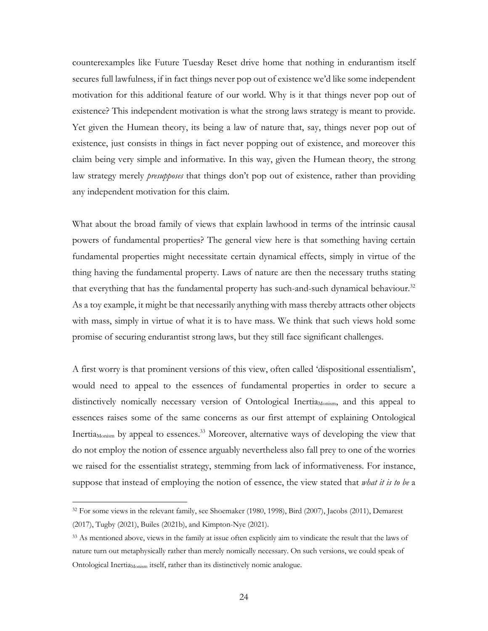counterexamples like Future Tuesday Reset drive home that nothing in endurantism itself secures full lawfulness, if in fact things never pop out of existence we'd like some independent motivation for this additional feature of our world. Why is it that things never pop out of existence? This independent motivation is what the strong laws strategy is meant to provide. Yet given the Humean theory, its being a law of nature that, say, things never pop out of existence, just consists in things in fact never popping out of existence, and moreover this claim being very simple and informative. In this way, given the Humean theory, the strong law strategy merely *presupposes* that things don't pop out of existence, rather than providing any independent motivation for this claim.

What about the broad family of views that explain lawhood in terms of the intrinsic causal powers of fundamental properties? The general view here is that something having certain fundamental properties might necessitate certain dynamical effects, simply in virtue of the thing having the fundamental property. Laws of nature are then the necessary truths stating that everything that has the fundamental property has such-and-such dynamical behaviour.<sup>32</sup> As a toy example, it might be that necessarily anything with mass thereby attracts other objects with mass, simply in virtue of what it is to have mass. We think that such views hold some promise of securing endurantist strong laws, but they still face significant challenges.

A first worry is that prominent versions of this view, often called 'dispositional essentialism', would need to appeal to the essences of fundamental properties in order to secure a distinctively nomically necessary version of Ontological Inertia<sub>Monism</sub>, and this appeal to essences raises some of the same concerns as our first attempt of explaining Ontological Inertia<sub>Monism</sub> by appeal to essences.<sup>33</sup> Moreover, alternative ways of developing the view that do not employ the notion of essence arguably nevertheless also fall prey to one of the worries we raised for the essentialist strategy, stemming from lack of informativeness. For instance, suppose that instead of employing the notion of essence, the view stated that *what it is to be* a

<sup>32</sup> For some views in the relevant family, see Shoemaker (1980, 1998), Bird (2007), Jacobs (2011), Demarest (2017), Tugby (2021), Builes (2021b), and Kimpton-Nye (2021).

<sup>33</sup> As mentioned above, views in the family at issue often explicitly aim to vindicate the result that the laws of nature turn out metaphysically rather than merely nomically necessary. On such versions, we could speak of Ontological Inertia<sub>Monism</sub> itself, rather than its distinctively nomic analogue.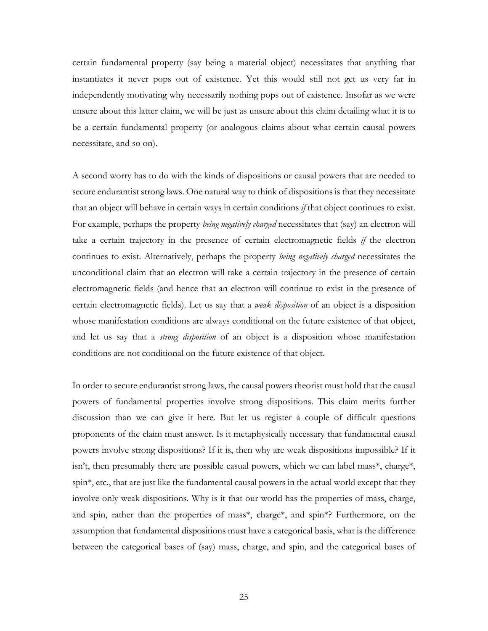certain fundamental property (say being a material object) necessitates that anything that instantiates it never pops out of existence. Yet this would still not get us very far in independently motivating why necessarily nothing pops out of existence. Insofar as we were unsure about this latter claim, we will be just as unsure about this claim detailing what it is to be a certain fundamental property (or analogous claims about what certain causal powers necessitate, and so on).

A second worry has to do with the kinds of dispositions or causal powers that are needed to secure endurantist strong laws. One natural way to think of dispositions is that they necessitate that an object will behave in certain ways in certain conditions *if* that object continues to exist. For example, perhaps the property *being negatively charged* necessitates that (say) an electron will take a certain trajectory in the presence of certain electromagnetic fields *if* the electron continues to exist. Alternatively, perhaps the property *being negatively charged* necessitates the unconditional claim that an electron will take a certain trajectory in the presence of certain electromagnetic fields (and hence that an electron will continue to exist in the presence of certain electromagnetic fields). Let us say that a *weak disposition* of an object is a disposition whose manifestation conditions are always conditional on the future existence of that object, and let us say that a *strong disposition* of an object is a disposition whose manifestation conditions are not conditional on the future existence of that object.

In order to secure endurantist strong laws, the causal powers theorist must hold that the causal powers of fundamental properties involve strong dispositions. This claim merits further discussion than we can give it here. But let us register a couple of difficult questions proponents of the claim must answer. Is it metaphysically necessary that fundamental causal powers involve strong dispositions? If it is, then why are weak dispositions impossible? If it isn't, then presumably there are possible casual powers, which we can label mass\*, charge\*, spin\*, etc., that are just like the fundamental causal powers in the actual world except that they involve only weak dispositions. Why is it that our world has the properties of mass, charge, and spin, rather than the properties of mass\*, charge\*, and spin\*? Furthermore, on the assumption that fundamental dispositions must have a categorical basis, what is the difference between the categorical bases of (say) mass, charge, and spin, and the categorical bases of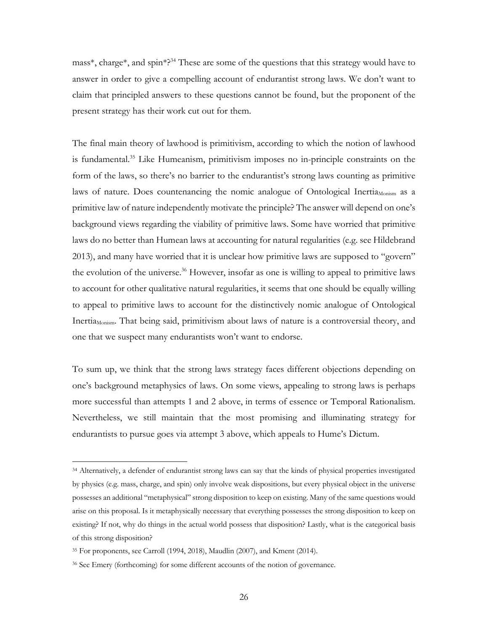mass<sup>\*</sup>, charge<sup>\*</sup>, and spin<sup>\*?34</sup> These are some of the questions that this strategy would have to answer in order to give a compelling account of endurantist strong laws. We don't want to claim that principled answers to these questions cannot be found, but the proponent of the present strategy has their work cut out for them.

The final main theory of lawhood is primitivism, according to which the notion of lawhood is fundamental.35 Like Humeanism, primitivism imposes no in-principle constraints on the form of the laws, so there's no barrier to the endurantist's strong laws counting as primitive laws of nature. Does countenancing the nomic analogue of Ontological Inertia $_{\text{Monism}}$  as a primitive law of nature independently motivate the principle? The answer will depend on one's background views regarding the viability of primitive laws. Some have worried that primitive laws do no better than Humean laws at accounting for natural regularities (e.g. see Hildebrand 2013), and many have worried that it is unclear how primitive laws are supposed to "govern" the evolution of the universe.<sup>36</sup> However, insofar as one is willing to appeal to primitive laws to account for other qualitative natural regularities, it seems that one should be equally willing to appeal to primitive laws to account for the distinctively nomic analogue of Ontological Inertia<sub>Monism</sub>. That being said, primitivism about laws of nature is a controversial theory, and one that we suspect many endurantists won't want to endorse.

To sum up, we think that the strong laws strategy faces different objections depending on one's background metaphysics of laws. On some views, appealing to strong laws is perhaps more successful than attempts 1 and 2 above, in terms of essence or Temporal Rationalism. Nevertheless, we still maintain that the most promising and illuminating strategy for endurantists to pursue goes via attempt 3 above, which appeals to Hume's Dictum.

<sup>34</sup> Alternatively, a defender of endurantist strong laws can say that the kinds of physical properties investigated by physics (e.g. mass, charge, and spin) only involve weak dispositions, but every physical object in the universe possesses an additional "metaphysical" strong disposition to keep on existing. Many of the same questions would arise on this proposal. Is it metaphysically necessary that everything possesses the strong disposition to keep on existing? If not, why do things in the actual world possess that disposition? Lastly, what is the categorical basis of this strong disposition?

<sup>35</sup> For proponents, see Carroll (1994, 2018), Maudlin (2007), and Kment (2014).

<sup>36</sup> See Emery (forthcoming) for some different accounts of the notion of governance.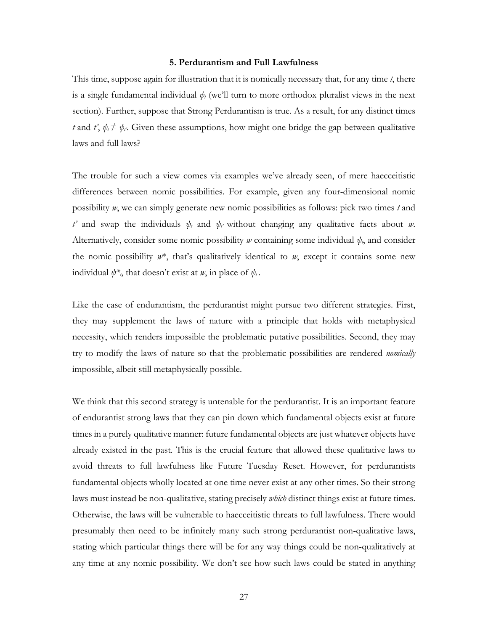#### **5. Perdurantism and Full Lawfulness**

This time, suppose again for illustration that it is nomically necessary that, for any time *t*, there is a single fundamental individual  $\psi_t$  (we'll turn to more orthodox pluralist views in the next section). Further, suppose that Strong Perdurantism is true. As a result, for any distinct times *t* and *t'*,  $\psi_t \neq \psi_t$ . Given these assumptions, how might one bridge the gap between qualitative laws and full laws?

The trouble for such a view comes via examples we've already seen, of mere haecceitistic differences between nomic possibilities. For example, given any four-dimensional nomic possibility *w*, we can simply generate new nomic possibilities as follows: pick two times *t* and *t'* and swap the individuals  $\psi_t$  and  $\psi_{t'}$  without changing any qualitative facts about *w*. Alternatively, consider some nomic possibility  $w$  containing some individual  $\psi$ , and consider the nomic possibility *w*\*, that's qualitatively identical to *w*, except it contains some new individual  $\psi^*$ , that doesn't exist at *w*, in place of  $\psi_t$ .

Like the case of endurantism, the perdurantist might pursue two different strategies. First, they may supplement the laws of nature with a principle that holds with metaphysical necessity, which renders impossible the problematic putative possibilities. Second, they may try to modify the laws of nature so that the problematic possibilities are rendered *nomically*  impossible, albeit still metaphysically possible.

We think that this second strategy is untenable for the perdurantist. It is an important feature of endurantist strong laws that they can pin down which fundamental objects exist at future times in a purely qualitative manner: future fundamental objects are just whatever objects have already existed in the past. This is the crucial feature that allowed these qualitative laws to avoid threats to full lawfulness like Future Tuesday Reset. However, for perdurantists fundamental objects wholly located at one time never exist at any other times. So their strong laws must instead be non-qualitative, stating precisely *which* distinct things exist at future times. Otherwise, the laws will be vulnerable to haecceitistic threats to full lawfulness. There would presumably then need to be infinitely many such strong perdurantist non-qualitative laws, stating which particular things there will be for any way things could be non-qualitatively at any time at any nomic possibility. We don't see how such laws could be stated in anything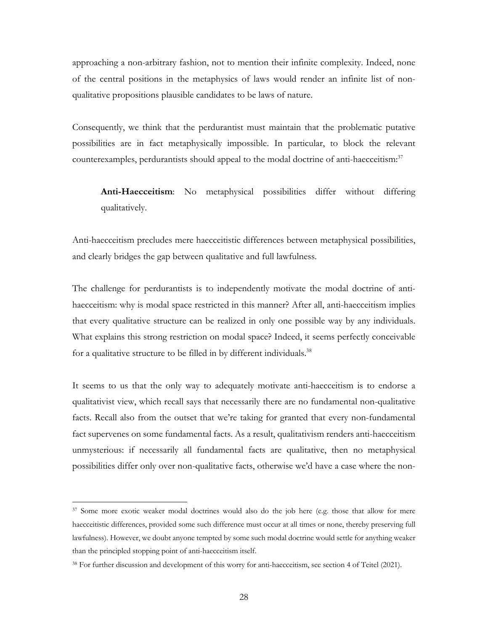approaching a non-arbitrary fashion, not to mention their infinite complexity. Indeed, none of the central positions in the metaphysics of laws would render an infinite list of nonqualitative propositions plausible candidates to be laws of nature.

Consequently, we think that the perdurantist must maintain that the problematic putative possibilities are in fact metaphysically impossible. In particular, to block the relevant counterexamples, perdurantists should appeal to the modal doctrine of anti-haecceitism:<sup>37</sup>

**Anti-Haecceitism**: No metaphysical possibilities differ without differing qualitatively.

Anti-haecceitism precludes mere haecceitistic differences between metaphysical possibilities, and clearly bridges the gap between qualitative and full lawfulness.

The challenge for perdurantists is to independently motivate the modal doctrine of antihaecceitism: why is modal space restricted in this manner? After all, anti-haecceitism implies that every qualitative structure can be realized in only one possible way by any individuals. What explains this strong restriction on modal space? Indeed, it seems perfectly conceivable for a qualitative structure to be filled in by different individuals.<sup>38</sup>

It seems to us that the only way to adequately motivate anti-haecceitism is to endorse a qualitativist view, which recall says that necessarily there are no fundamental non-qualitative facts. Recall also from the outset that we're taking for granted that every non-fundamental fact supervenes on some fundamental facts. As a result, qualitativism renders anti-haecceitism unmysterious: if necessarily all fundamental facts are qualitative, then no metaphysical possibilities differ only over non-qualitative facts, otherwise we'd have a case where the non-

<sup>&</sup>lt;sup>37</sup> Some more exotic weaker modal doctrines would also do the job here (e.g. those that allow for mere haecceitistic differences, provided some such difference must occur at all times or none, thereby preserving full lawfulness). However, we doubt anyone tempted by some such modal doctrine would settle for anything weaker than the principled stopping point of anti-haecceitism itself.

<sup>38</sup> For further discussion and development of this worry for anti-haecceitism, see section 4 of Teitel (2021).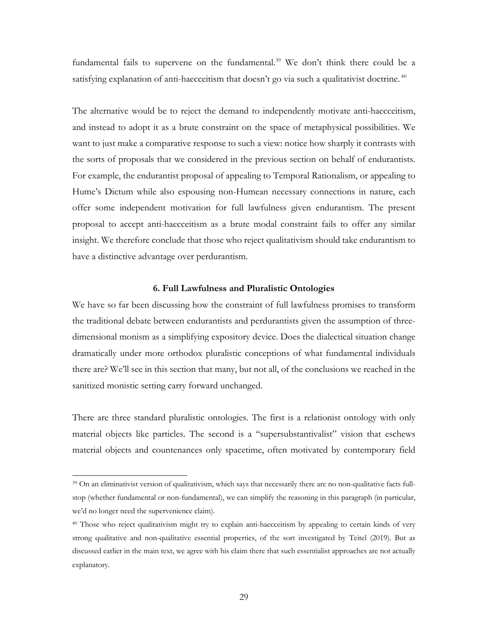fundamental fails to supervene on the fundamental.<sup>39</sup> We don't think there could be a satisfying explanation of anti-haecceitism that doesn't go via such a qualitativist doctrine.<sup>40</sup>

The alternative would be to reject the demand to independently motivate anti-haecceitism, and instead to adopt it as a brute constraint on the space of metaphysical possibilities. We want to just make a comparative response to such a view: notice how sharply it contrasts with the sorts of proposals that we considered in the previous section on behalf of endurantists. For example, the endurantist proposal of appealing to Temporal Rationalism, or appealing to Hume's Dictum while also espousing non-Humean necessary connections in nature, each offer some independent motivation for full lawfulness given endurantism. The present proposal to accept anti-haecceitism as a brute modal constraint fails to offer any similar insight. We therefore conclude that those who reject qualitativism should take endurantism to have a distinctive advantage over perdurantism.

# **6. Full Lawfulness and Pluralistic Ontologies**

We have so far been discussing how the constraint of full lawfulness promises to transform the traditional debate between endurantists and perdurantists given the assumption of threedimensional monism as a simplifying expository device. Does the dialectical situation change dramatically under more orthodox pluralistic conceptions of what fundamental individuals there are? We'll see in this section that many, but not all, of the conclusions we reached in the sanitized monistic setting carry forward unchanged.

There are three standard pluralistic ontologies. The first is a relationist ontology with only material objects like particles. The second is a "supersubstantivalist" vision that eschews material objects and countenances only spacetime, often motivated by contemporary field

<sup>39</sup> On an eliminativist version of qualitativism, which says that necessarily there are no non-qualitative facts fullstop (whether fundamental or non-fundamental), we can simplify the reasoning in this paragraph (in particular, we'd no longer need the supervenience claim).

<sup>40</sup> Those who reject qualitativism might try to explain anti-haecceitism by appealing to certain kinds of very strong qualitative and non-qualitative essential properties, of the sort investigated by Teitel (2019). But as discussed earlier in the main text, we agree with his claim there that such essentialist approaches are not actually explanatory.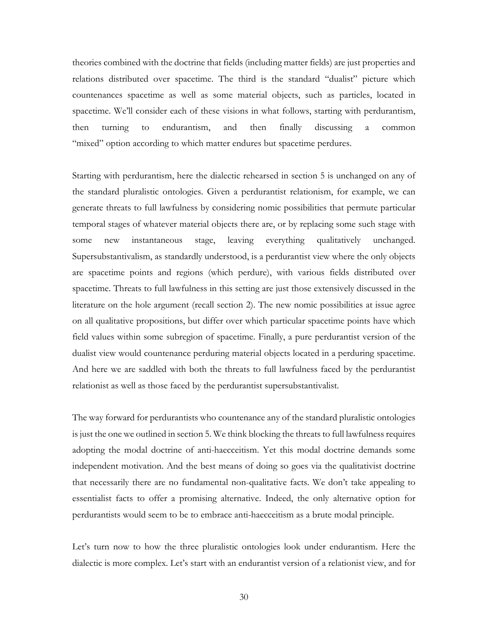theories combined with the doctrine that fields (including matter fields) are just properties and relations distributed over spacetime. The third is the standard "dualist" picture which countenances spacetime as well as some material objects, such as particles, located in spacetime. We'll consider each of these visions in what follows, starting with perdurantism, then turning to endurantism, and then finally discussing a common "mixed" option according to which matter endures but spacetime perdures.

Starting with perdurantism, here the dialectic rehearsed in section 5 is unchanged on any of the standard pluralistic ontologies. Given a perdurantist relationism, for example, we can generate threats to full lawfulness by considering nomic possibilities that permute particular temporal stages of whatever material objects there are, or by replacing some such stage with some new instantaneous stage, leaving everything qualitatively unchanged. Supersubstantivalism, as standardly understood, is a perdurantist view where the only objects are spacetime points and regions (which perdure), with various fields distributed over spacetime. Threats to full lawfulness in this setting are just those extensively discussed in the literature on the hole argument (recall section 2). The new nomic possibilities at issue agree on all qualitative propositions, but differ over which particular spacetime points have which field values within some subregion of spacetime. Finally, a pure perdurantist version of the dualist view would countenance perduring material objects located in a perduring spacetime. And here we are saddled with both the threats to full lawfulness faced by the perdurantist relationist as well as those faced by the perdurantist supersubstantivalist.

The way forward for perdurantists who countenance any of the standard pluralistic ontologies is just the one we outlined in section 5. We think blocking the threats to full lawfulness requires adopting the modal doctrine of anti-haecceitism. Yet this modal doctrine demands some independent motivation. And the best means of doing so goes via the qualitativist doctrine that necessarily there are no fundamental non-qualitative facts. We don't take appealing to essentialist facts to offer a promising alternative. Indeed, the only alternative option for perdurantists would seem to be to embrace anti-haecceitism as a brute modal principle.

Let's turn now to how the three pluralistic ontologies look under endurantism. Here the dialectic is more complex. Let's start with an endurantist version of a relationist view, and for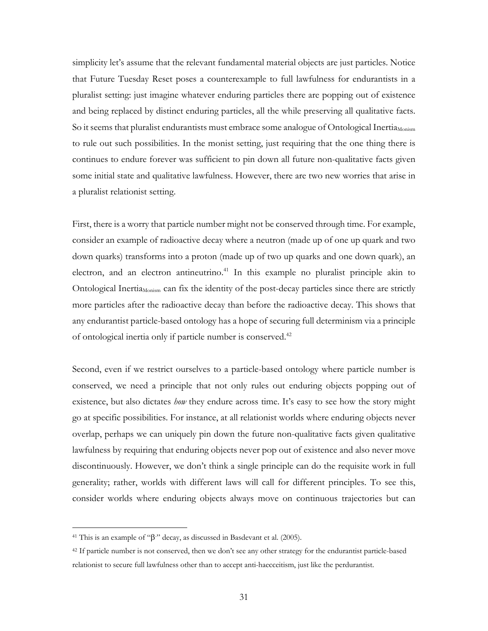simplicity let's assume that the relevant fundamental material objects are just particles. Notice that Future Tuesday Reset poses a counterexample to full lawfulness for endurantists in a pluralist setting: just imagine whatever enduring particles there are popping out of existence and being replaced by distinct enduring particles, all the while preserving all qualitative facts. So it seems that pluralist endurantists must embrace some analogue of Ontological Inertia<sub>Monism</sub> to rule out such possibilities. In the monist setting, just requiring that the one thing there is continues to endure forever was sufficient to pin down all future non-qualitative facts given some initial state and qualitative lawfulness. However, there are two new worries that arise in a pluralist relationist setting.

First, there is a worry that particle number might not be conserved through time. For example, consider an example of radioactive decay where a neutron (made up of one up quark and two down quarks) transforms into a proton (made up of two up quarks and one down quark), an electron, and an electron antineutrino.<sup>41</sup> In this example no pluralist principle akin to Ontological Inertia<sub>Monism</sub> can fix the identity of the post-decay particles since there are strictly more particles after the radioactive decay than before the radioactive decay. This shows that any endurantist particle-based ontology has a hope of securing full determinism via a principle of ontological inertia only if particle number is conserved.42

Second, even if we restrict ourselves to a particle-based ontology where particle number is conserved, we need a principle that not only rules out enduring objects popping out of existence, but also dictates *how* they endure across time. It's easy to see how the story might go at specific possibilities. For instance, at all relationist worlds where enduring objects never overlap, perhaps we can uniquely pin down the future non-qualitative facts given qualitative lawfulness by requiring that enduring objects never pop out of existence and also never move discontinuously. However, we don't think a single principle can do the requisite work in full generality; rather, worlds with different laws will call for different principles. To see this, consider worlds where enduring objects always move on continuous trajectories but can

<sup>&</sup>lt;sup>41</sup> This is an example of " $\beta$ " decay, as discussed in Basdevant et al. (2005).

<sup>&</sup>lt;sup>42</sup> If particle number is not conserved, then we don't see any other strategy for the endurantist particle-based relationist to secure full lawfulness other than to accept anti-haecceitism, just like the perdurantist.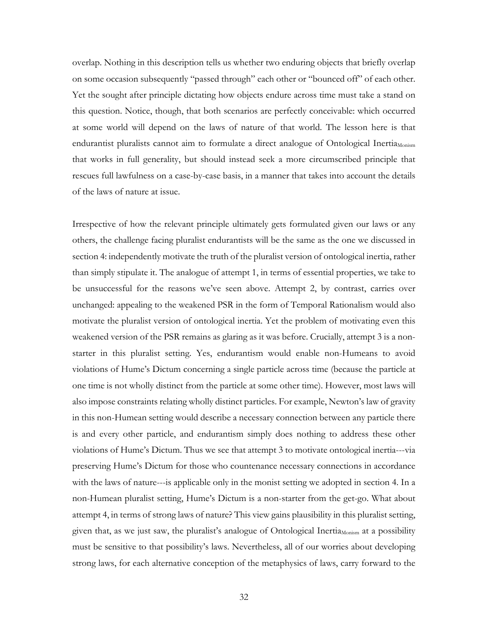overlap. Nothing in this description tells us whether two enduring objects that briefly overlap on some occasion subsequently "passed through" each other or "bounced off" of each other. Yet the sought after principle dictating how objects endure across time must take a stand on this question. Notice, though, that both scenarios are perfectly conceivable: which occurred at some world will depend on the laws of nature of that world. The lesson here is that endurantist pluralists cannot aim to formulate a direct analogue of Ontological Inertia<sub>Monism</sub> that works in full generality, but should instead seek a more circumscribed principle that rescues full lawfulness on a case-by-case basis, in a manner that takes into account the details of the laws of nature at issue.

Irrespective of how the relevant principle ultimately gets formulated given our laws or any others, the challenge facing pluralist endurantists will be the same as the one we discussed in section 4: independently motivate the truth of the pluralist version of ontological inertia, rather than simply stipulate it. The analogue of attempt 1, in terms of essential properties, we take to be unsuccessful for the reasons we've seen above. Attempt 2, by contrast, carries over unchanged: appealing to the weakened PSR in the form of Temporal Rationalism would also motivate the pluralist version of ontological inertia. Yet the problem of motivating even this weakened version of the PSR remains as glaring as it was before. Crucially, attempt 3 is a nonstarter in this pluralist setting. Yes, endurantism would enable non-Humeans to avoid violations of Hume's Dictum concerning a single particle across time (because the particle at one time is not wholly distinct from the particle at some other time). However, most laws will also impose constraints relating wholly distinct particles. For example, Newton's law of gravity in this non-Humean setting would describe a necessary connection between any particle there is and every other particle, and endurantism simply does nothing to address these other violations of Hume's Dictum. Thus we see that attempt 3 to motivate ontological inertia---via preserving Hume's Dictum for those who countenance necessary connections in accordance with the laws of nature---is applicable only in the monist setting we adopted in section 4. In a non-Humean pluralist setting, Hume's Dictum is a non-starter from the get-go. What about attempt 4, in terms of strong laws of nature? This view gains plausibility in this pluralist setting, given that, as we just saw, the pluralist's analogue of Ontological Inertia<sub>Monism</sub> at a possibility must be sensitive to that possibility's laws. Nevertheless, all of our worries about developing strong laws, for each alternative conception of the metaphysics of laws, carry forward to the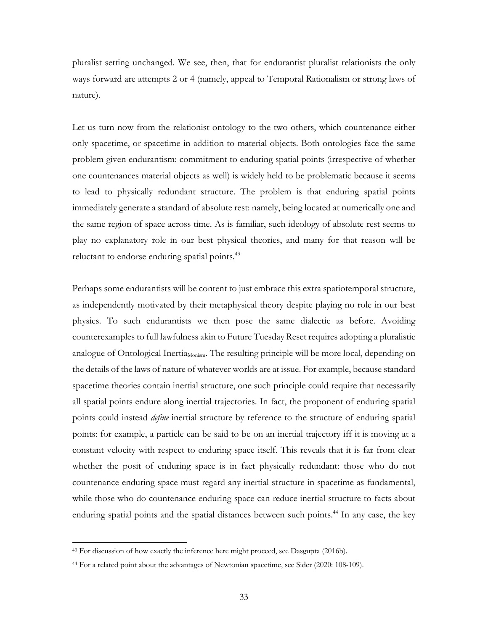pluralist setting unchanged. We see, then, that for endurantist pluralist relationists the only ways forward are attempts 2 or 4 (namely, appeal to Temporal Rationalism or strong laws of nature).

Let us turn now from the relationist ontology to the two others, which countenance either only spacetime, or spacetime in addition to material objects. Both ontologies face the same problem given endurantism: commitment to enduring spatial points (irrespective of whether one countenances material objects as well) is widely held to be problematic because it seems to lead to physically redundant structure. The problem is that enduring spatial points immediately generate a standard of absolute rest: namely, being located at numerically one and the same region of space across time. As is familiar, such ideology of absolute rest seems to play no explanatory role in our best physical theories, and many for that reason will be reluctant to endorse enduring spatial points.<sup>43</sup>

Perhaps some endurantists will be content to just embrace this extra spatiotemporal structure, as independently motivated by their metaphysical theory despite playing no role in our best physics. To such endurantists we then pose the same dialectic as before. Avoiding counterexamples to full lawfulness akin to Future Tuesday Reset requires adopting a pluralistic analogue of Ontological Inertia<sub>Monism</sub>. The resulting principle will be more local, depending on the details of the laws of nature of whatever worlds are at issue. For example, because standard spacetime theories contain inertial structure, one such principle could require that necessarily all spatial points endure along inertial trajectories. In fact, the proponent of enduring spatial points could instead *define* inertial structure by reference to the structure of enduring spatial points: for example, a particle can be said to be on an inertial trajectory iff it is moving at a constant velocity with respect to enduring space itself. This reveals that it is far from clear whether the posit of enduring space is in fact physically redundant: those who do not countenance enduring space must regard any inertial structure in spacetime as fundamental, while those who do countenance enduring space can reduce inertial structure to facts about enduring spatial points and the spatial distances between such points.<sup>44</sup> In any case, the key

<sup>&</sup>lt;sup>43</sup> For discussion of how exactly the inference here might proceed, see Dasgupta (2016b).

<sup>44</sup> For a related point about the advantages of Newtonian spacetime, see Sider (2020: 108-109).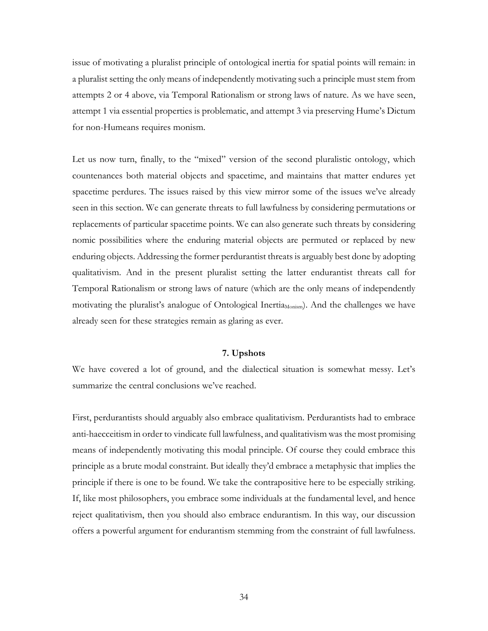issue of motivating a pluralist principle of ontological inertia for spatial points will remain: in a pluralist setting the only means of independently motivating such a principle must stem from attempts 2 or 4 above, via Temporal Rationalism or strong laws of nature. As we have seen, attempt 1 via essential properties is problematic, and attempt 3 via preserving Hume's Dictum for non-Humeans requires monism.

Let us now turn, finally, to the "mixed" version of the second pluralistic ontology, which countenances both material objects and spacetime, and maintains that matter endures yet spacetime perdures. The issues raised by this view mirror some of the issues we've already seen in this section. We can generate threats to full lawfulness by considering permutations or replacements of particular spacetime points. We can also generate such threats by considering nomic possibilities where the enduring material objects are permuted or replaced by new enduring objects. Addressing the former perdurantist threats is arguably best done by adopting qualitativism. And in the present pluralist setting the latter endurantist threats call for Temporal Rationalism or strong laws of nature (which are the only means of independently motivating the pluralist's analogue of Ontological Inertia<sub>Monism</sub>). And the challenges we have already seen for these strategies remain as glaring as ever.

#### **7. Upshots**

We have covered a lot of ground, and the dialectical situation is somewhat messy. Let's summarize the central conclusions we've reached.

First, perdurantists should arguably also embrace qualitativism. Perdurantists had to embrace anti-haecceitism in order to vindicate full lawfulness, and qualitativism was the most promising means of independently motivating this modal principle. Of course they could embrace this principle as a brute modal constraint. But ideally they'd embrace a metaphysic that implies the principle if there is one to be found. We take the contrapositive here to be especially striking. If, like most philosophers, you embrace some individuals at the fundamental level, and hence reject qualitativism, then you should also embrace endurantism. In this way, our discussion offers a powerful argument for endurantism stemming from the constraint of full lawfulness.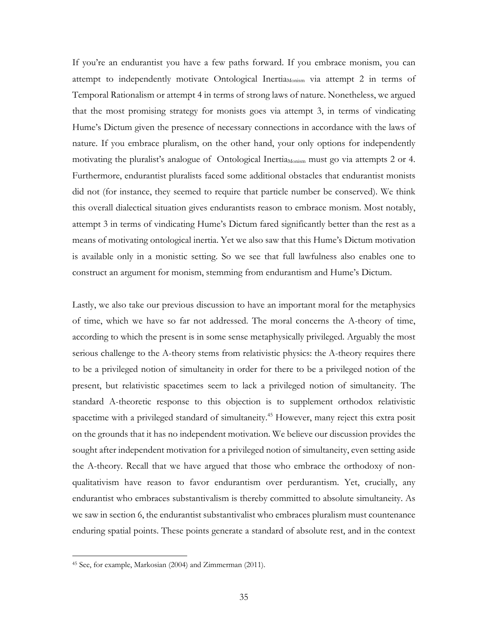If you're an endurantist you have a few paths forward. If you embrace monism, you can attempt to independently motivate Ontological Inertia<sub>Monism</sub> via attempt 2 in terms of Temporal Rationalism or attempt 4 in terms of strong laws of nature. Nonetheless, we argued that the most promising strategy for monists goes via attempt 3, in terms of vindicating Hume's Dictum given the presence of necessary connections in accordance with the laws of nature. If you embrace pluralism, on the other hand, your only options for independently motivating the pluralist's analogue of Ontological Inertia<sub>Monism</sub> must go via attempts 2 or 4. Furthermore, endurantist pluralists faced some additional obstacles that endurantist monists did not (for instance, they seemed to require that particle number be conserved). We think this overall dialectical situation gives endurantists reason to embrace monism. Most notably, attempt 3 in terms of vindicating Hume's Dictum fared significantly better than the rest as a means of motivating ontological inertia. Yet we also saw that this Hume's Dictum motivation is available only in a monistic setting. So we see that full lawfulness also enables one to construct an argument for monism, stemming from endurantism and Hume's Dictum.

Lastly, we also take our previous discussion to have an important moral for the metaphysics of time, which we have so far not addressed. The moral concerns the A-theory of time, according to which the present is in some sense metaphysically privileged. Arguably the most serious challenge to the A-theory stems from relativistic physics: the A-theory requires there to be a privileged notion of simultaneity in order for there to be a privileged notion of the present, but relativistic spacetimes seem to lack a privileged notion of simultaneity. The standard A-theoretic response to this objection is to supplement orthodox relativistic spacetime with a privileged standard of simultaneity. <sup>45</sup> However, many reject this extra posit on the grounds that it has no independent motivation. We believe our discussion provides the sought after independent motivation for a privileged notion of simultaneity, even setting aside the A-theory. Recall that we have argued that those who embrace the orthodoxy of nonqualitativism have reason to favor endurantism over perdurantism. Yet, crucially, any endurantist who embraces substantivalism is thereby committed to absolute simultaneity. As we saw in section 6, the endurantist substantivalist who embraces pluralism must countenance enduring spatial points. These points generate a standard of absolute rest, and in the context

<sup>45</sup> See, for example, Markosian (2004) and Zimmerman (2011).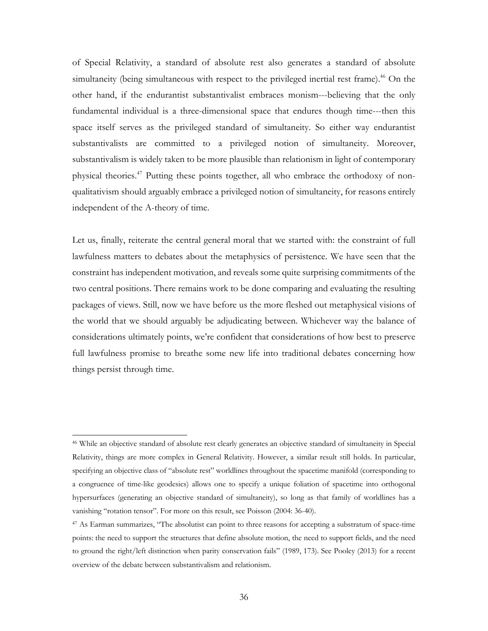of Special Relativity, a standard of absolute rest also generates a standard of absolute simultaneity (being simultaneous with respect to the privileged inertial rest frame).<sup>46</sup> On the other hand, if the endurantist substantivalist embraces monism---believing that the only fundamental individual is a three-dimensional space that endures though time---then this space itself serves as the privileged standard of simultaneity. So either way endurantist substantivalists are committed to a privileged notion of simultaneity. Moreover, substantivalism is widely taken to be more plausible than relationism in light of contemporary physical theories.47 Putting these points together, all who embrace the orthodoxy of nonqualitativism should arguably embrace a privileged notion of simultaneity, for reasons entirely independent of the A-theory of time.

Let us, finally, reiterate the central general moral that we started with: the constraint of full lawfulness matters to debates about the metaphysics of persistence. We have seen that the constraint has independent motivation, and reveals some quite surprising commitments of the two central positions. There remains work to be done comparing and evaluating the resulting packages of views. Still, now we have before us the more fleshed out metaphysical visions of the world that we should arguably be adjudicating between. Whichever way the balance of considerations ultimately points, we're confident that considerations of how best to preserve full lawfulness promise to breathe some new life into traditional debates concerning how things persist through time.

<sup>46</sup> While an objective standard of absolute rest clearly generates an objective standard of simultaneity in Special Relativity, things are more complex in General Relativity. However, a similar result still holds. In particular, specifying an objective class of "absolute rest" worldlines throughout the spacetime manifold (corresponding to a congruence of time-like geodesics) allows one to specify a unique foliation of spacetime into orthogonal hypersurfaces (generating an objective standard of simultaneity), so long as that family of worldlines has a vanishing "rotation tensor". For more on this result, see Poisson (2004: 36-40).

<sup>47</sup> As Earman summarizes, "The absolutist can point to three reasons for accepting a substratum of space-time points: the need to support the structures that define absolute motion, the need to support fields, and the need to ground the right/left distinction when parity conservation fails" (1989, 173). See Pooley (2013) for a recent overview of the debate between substantivalism and relationism.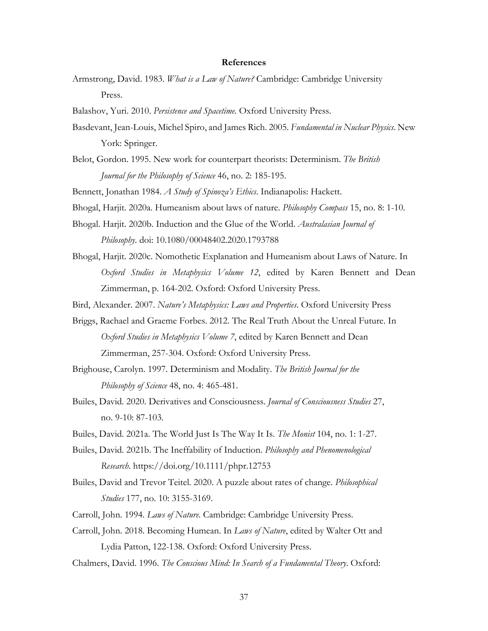#### **References**

Armstrong, David. 1983. *What is a Law of Nature?* Cambridge: Cambridge University Press.

Balashov, Yuri. 2010. *Persistence and Spacetime*. Oxford University Press.

- Basdevant, Jean-Louis, Michel Spiro, and James Rich. 2005. *Fundamental in Nuclear Physics*. New York: Springer.
- Belot, Gordon. 1995. New work for counterpart theorists: Determinism. *The British Journal for the Philosophy of Science* 46, no. 2: 185-195.

Bennett, Jonathan 1984. *A Study of Spinoza's Ethics*. Indianapolis: Hackett.

- Bhogal, Harjit. 2020a. Humeanism about laws of nature. *Philosophy Compass* 15, no. 8: 1-10.
- Bhogal. Harjit. 2020b. Induction and the Glue of the World. *Australasian Journal of Philosophy*. doi: 10.1080/00048402.2020.1793788
- Bhogal, Harjit. 2020c. Nomothetic Explanation and Humeanism about Laws of Nature. In *Oxford Studies in Metaphysics Volume 12*, edited by Karen Bennett and Dean Zimmerman, p. 164-202. Oxford: Oxford University Press.
- Bird, Alexander. 2007. *Nature's Metaphysics: Laws and Properties*. Oxford University Press
- Briggs, Rachael and Graeme Forbes. 2012. The Real Truth About the Unreal Future. In *Oxford Studies in Metaphysics Volume 7*, edited by Karen Bennett and Dean Zimmerman, 257-304. Oxford: Oxford University Press.
- Brighouse, Carolyn. 1997. Determinism and Modality. *The British Journal for the Philosophy of Science* 48, no. 4: 465-481.
- Builes, David. 2020. Derivatives and Consciousness. *Journal of Consciousness Studies* 27, no. 9-10: 87-103.

Builes, David. 2021a. The World Just Is The Way It Is. *The Monist* 104, no. 1: 1-27.

- Builes, David. 2021b. The Ineffability of Induction. *Philosophy and Phenomenological Research*. https://doi.org/10.1111/phpr.12753
- Builes, David and Trevor Teitel. 2020. A puzzle about rates of change. *Philosophical Studies* 177, no. 10: 3155-3169.
- Carroll, John. 1994. *Laws of Nature*. Cambridge: Cambridge University Press.
- Carroll, John. 2018. Becoming Humean. In *Laws of Nature*, edited by Walter Ott and Lydia Patton, 122-138. Oxford: Oxford University Press.

Chalmers, David. 1996. *The Conscious Mind: In Search of a Fundamental Theory*. Oxford: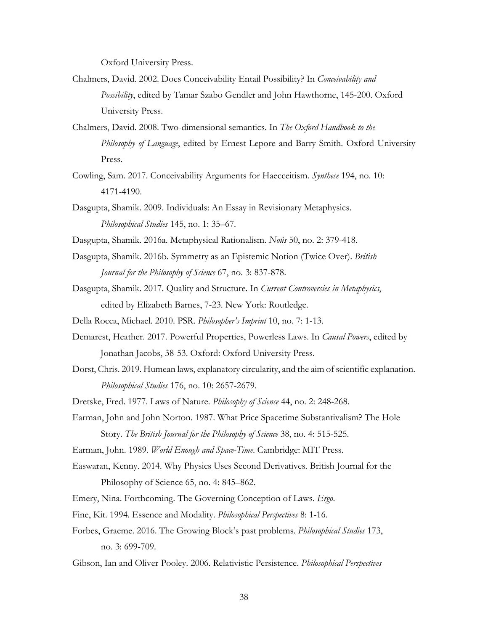Oxford University Press.

- Chalmers, David. 2002. Does Conceivability Entail Possibility? In *Conceivability and Possibility*, edited by Tamar Szabo Gendler and John Hawthorne, 145-200. Oxford University Press.
- Chalmers, David. 2008. Two-dimensional semantics. In *The Oxford Handbook to the Philosophy of Language*, edited by Ernest Lepore and Barry Smith. Oxford University Press.
- Cowling, Sam. 2017. Conceivability Arguments for Haecceitism. *Synthese* 194, no. 10: 4171-4190.
- Dasgupta, Shamik. 2009. Individuals: An Essay in Revisionary Metaphysics. *Philosophical Studies* 145, no. 1: 35–67.
- Dasgupta, Shamik. 2016a. Metaphysical Rationalism. *Noûs* 50, no. 2: 379-418.
- Dasgupta, Shamik. 2016b. Symmetry as an Epistemic Notion (Twice Over). *British Journal for the Philosophy of Science* 67, no. 3: 837-878.
- Dasgupta, Shamik. 2017. Quality and Structure. In *Current Controversies in Metaphysics*, edited by Elizabeth Barnes, 7-23. New York: Routledge.
- Della Rocca, Michael. 2010. PSR. *Philosopher's Imprint* 10, no. 7: 1-13.
- Demarest, Heather. 2017. Powerful Properties, Powerless Laws. In *Causal Powers*, edited by Jonathan Jacobs, 38-53. Oxford: Oxford University Press.
- Dorst, Chris. 2019. Humean laws, explanatory circularity, and the aim of scientific explanation. *Philosophical Studies* 176, no. 10: 2657-2679.
- Dretske, Fred. 1977. Laws of Nature. *Philosophy of Science* 44, no. 2: 248-268.
- Earman, John and John Norton. 1987. What Price Spacetime Substantivalism? The Hole Story. *The British Journal for the Philosophy of Science* 38, no. 4: 515-525.
- Earman, John. 1989. *World Enough and Space-Time*. Cambridge: MIT Press.
- Easwaran, Kenny. 2014. Why Physics Uses Second Derivatives. British Journal for the Philosophy of Science 65, no. 4: 845–862.
- Emery, Nina. Forthcoming. The Governing Conception of Laws. *Ergo*.
- Fine, Kit. 1994. Essence and Modality. *Philosophical Perspectives* 8: 1-16.
- Forbes, Graeme. 2016. The Growing Block's past problems. *Philosophical Studies* 173, no. 3: 699-709.
- Gibson, Ian and Oliver Pooley. 2006. Relativistic Persistence. *Philosophical Perspectives*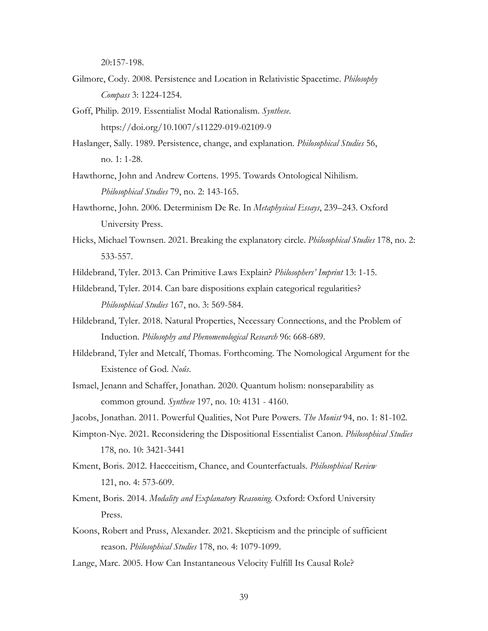20:157-198.

- Gilmore, Cody. 2008. Persistence and Location in Relativistic Spacetime. *Philosophy Compass* 3: 1224-1254.
- Goff, Philip. 2019. Essentialist Modal Rationalism. *Synthese*. https://doi.org/10.1007/s11229-019-02109-9
- Haslanger, Sally. 1989. Persistence, change, and explanation. *Philosophical Studies* 56, no. 1: 1-28.
- Hawthorne, John and Andrew Cortens. 1995. Towards Ontological Nihilism. *Philosophical Studies* 79, no. 2: 143-165.
- Hawthorne, John. 2006. Determinism De Re. In *Metaphysical Essays*, 239–243. Oxford University Press.
- Hicks, Michael Townsen. 2021. Breaking the explanatory circle. *Philosophical Studies* 178, no. 2: 533-557.
- Hildebrand, Tyler. 2013. Can Primitive Laws Explain? *Philosophers' Imprint* 13: 1-15.
- Hildebrand, Tyler. 2014. Can bare dispositions explain categorical regularities? *Philosophical Studies* 167, no. 3: 569-584.
- Hildebrand, Tyler. 2018. Natural Properties, Necessary Connections, and the Problem of Induction. *Philosophy and Phenomenological Research* 96: 668-689.
- Hildebrand, Tyler and Metcalf, Thomas. Forthcoming. The Nomological Argument for the Existence of God. *Noûs*.
- Ismael, Jenann and Schaffer, Jonathan. 2020. Quantum holism: nonseparability as common ground. *Synthese* 197, no. 10: 4131 - 4160.
- Jacobs, Jonathan. 2011. Powerful Qualities, Not Pure Powers. *The Monist* 94, no. 1: 81-102.
- Kimpton-Nye. 2021. Reconsidering the Dispositional Essentialist Canon. *Philosophical Studies* 178, no. 10: 3421-3441
- Kment, Boris. 2012. Haecceitism, Chance, and Counterfactuals. *Philosophical Review* 121, no. 4: 573-609.
- Kment, Boris. 2014. *Modality and Explanatory Reasoning*. Oxford: Oxford University Press.
- Koons, Robert and Pruss, Alexander. 2021. Skepticism and the principle of sufficient reason. *Philosophical Studies* 178, no. 4: 1079-1099.
- Lange, Marc. 2005. How Can Instantaneous Velocity Fulfill Its Causal Role?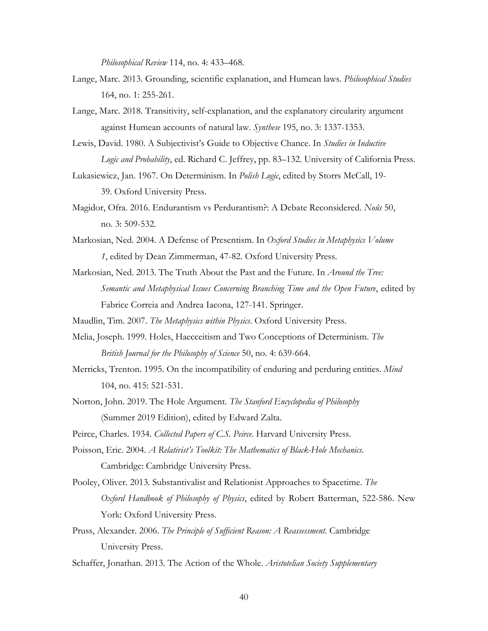*Philosophical Review* 114, no. 4: 433–468.

- Lange, Marc. 2013. Grounding, scientific explanation, and Humean laws. *Philosophical Studies* 164, no. 1: 255-261.
- Lange, Marc. 2018. Transitivity, self-explanation, and the explanatory circularity argument against Humean accounts of natural law. *Synthese* 195, no. 3: 1337-1353.
- Lewis, David. 1980. A Subjectivist's Guide to Objective Chance. In *Studies in Inductive Logic and Probability*, ed. Richard C. Jeffrey, pp. 83–132. University of California Press.
- Lukasiewicz, Jan. 1967. On Determinism. In *Polish Logic*, edited by Storrs McCall, 19- 39. Oxford University Press.
- Magidor, Ofra. 2016. Endurantism vs Perdurantism?: A Debate Reconsidered. *Noûs* 50, no. 3: 509-532.
- Markosian, Ned. 2004. A Defense of Presentism. In *Oxford Studies in Metaphysics Volume 1*, edited by Dean Zimmerman, 47-82. Oxford University Press.
- Markosian, Ned. 2013. The Truth About the Past and the Future. In *Around the Tree: Semantic and Metaphysical Issues Concerning Branching Time and the Open Future*, edited by Fabrice Correia and Andrea Iacona, 127-141. Springer.
- Maudlin, Tim. 2007. *The Metaphysics within Physics*. Oxford University Press.
- Melia, Joseph. 1999. Holes, Haecceitism and Two Conceptions of Determinism. *The British Journal for the Philosophy of Science* 50, no. 4: 639-664.
- Merricks, Trenton. 1995. On the incompatibility of enduring and perduring entities. *Mind* 104, no. 415: 521-531.
- Norton, John. 2019. The Hole Argument. *The Stanford Encyclopedia of Philosophy*  (Summer 2019 Edition), edited by Edward Zalta.
- Peirce, Charles. 1934. *Collected Papers of C.S. Peirce*. Harvard University Press.
- Poisson, Eric. 2004. *A Relativist's Toolkit: The Mathematics of Black-Hole Mechanics*. Cambridge: Cambridge University Press.
- Pooley, Oliver. 2013. Substantivalist and Relationist Approaches to Spacetime. *The Oxford Handbook of Philosophy of Physics*, edited by Robert Batterman, 522-586. New York: Oxford University Press.
- Pruss, Alexander. 2006. *The Principle of Sufficient Reason: A Reassessment*. Cambridge University Press.
- Schaffer, Jonathan. 2013. The Action of the Whole. *Aristotelian Society Supplementary*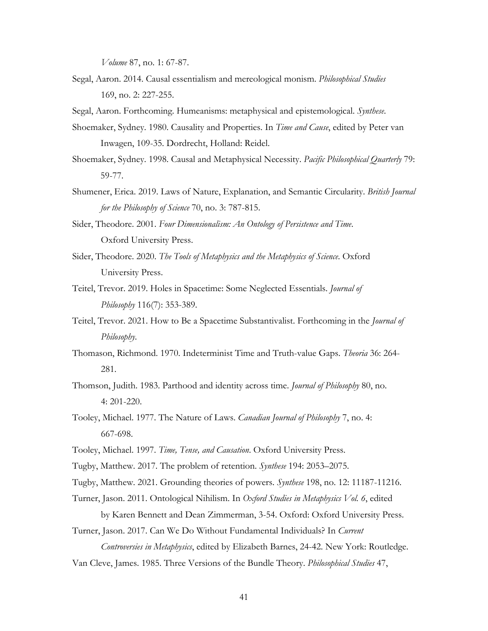*Volume* 87, no. 1: 67-87.

- Segal, Aaron. 2014. Causal essentialism and mereological monism. *Philosophical Studies* 169, no. 2: 227-255.
- Segal, Aaron. Forthcoming. Humeanisms: metaphysical and epistemological. *Synthese*.
- Shoemaker, Sydney. 1980. Causality and Properties. In *Time and Cause*, edited by Peter van Inwagen, 109-35. Dordrecht, Holland: Reidel.
- Shoemaker, Sydney. 1998. Causal and Metaphysical Necessity. *Pacific Philosophical Quarterly* 79: 59-77.
- Shumener, Erica. 2019. Laws of Nature, Explanation, and Semantic Circularity. *British Journal for the Philosophy of Science* 70, no. 3: 787-815.
- Sider, Theodore. 2001. *Four Dimensionalism: An Ontology of Persistence and Time*. Oxford University Press.
- Sider, Theodore. 2020. *The Tools of Metaphysics and the Metaphysics of Science*. Oxford University Press.
- Teitel, Trevor. 2019. Holes in Spacetime: Some Neglected Essentials. *Journal of Philosophy* 116(7): 353-389.
- Teitel, Trevor. 2021. How to Be a Spacetime Substantivalist. Forthcoming in the *Journal of Philosophy*.
- Thomason, Richmond. 1970. Indeterminist Time and Truth-value Gaps. *Theoria* 36: 264- 281.
- Thomson, Judith. 1983. Parthood and identity across time. *Journal of Philosophy* 80, no. 4: 201-220.
- Tooley, Michael. 1977. The Nature of Laws. *Canadian Journal of Philosophy* 7, no. 4: 667-698.
- Tooley, Michael. 1997. *Time, Tense, and Causation*. Oxford University Press.
- Tugby, Matthew. 2017. The problem of retention. *Synthese* 194: 2053–2075.

Tugby, Matthew. 2021. Grounding theories of powers. *Synthese* 198, no. 12: 11187-11216.

- Turner, Jason. 2011. Ontological Nihilism. In *Oxford Studies in Metaphysics Vol. 6*, edited by Karen Bennett and Dean Zimmerman, 3-54. Oxford: Oxford University Press.
- Turner, Jason. 2017. Can We Do Without Fundamental Individuals? In *Current*

*Controversies in Metaphysics*, edited by Elizabeth Barnes, 24-42. New York: Routledge.

Van Cleve, James. 1985. Three Versions of the Bundle Theory. *Philosophical Studies* 47,